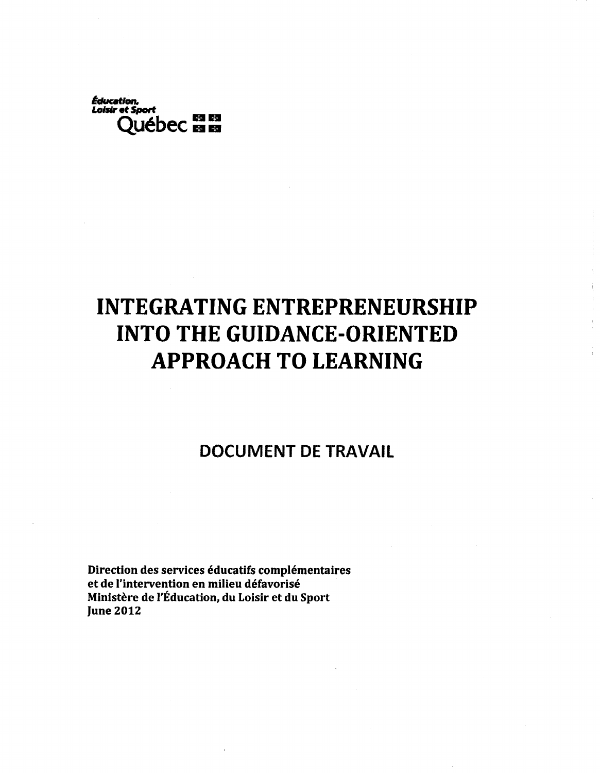**Éducation**, LoIsIr et Sport **Québec** Es Es

# **INTEGRA TING ENTREPRENEURSHIP INTO THE GUIDANCE-ORIENTED APPROACH TO LEARNING**

## DOCUMENT DE TRAVAIL

Direction des services éducatifs complémentaires et de l'intervention en milieu défavorisé Ministère de l'Éducation, du Loisir et du Sport **June 2012**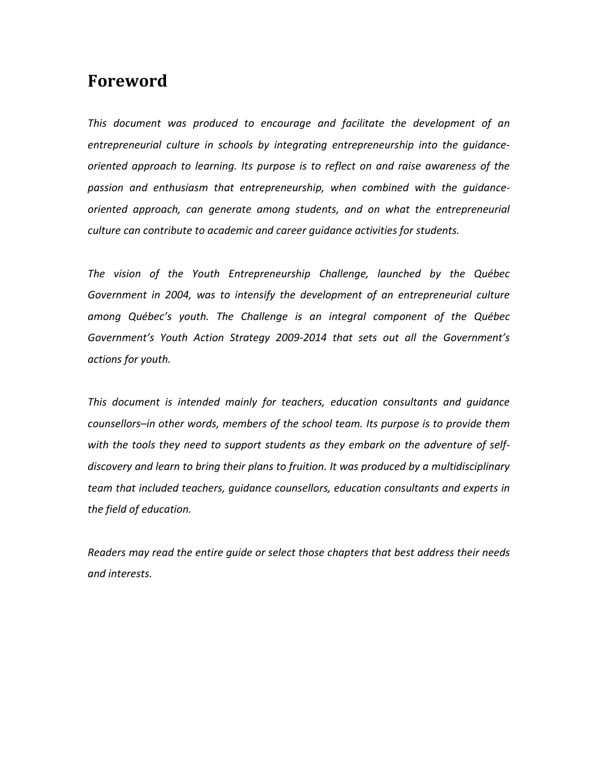## <span id="page-2-0"></span>**Foreword**

*This document was produced to encourage and facilitate the development of an entrepreneurial culture in schools by integrating entrepreneurship into the guidanceoriented approach to learning. Its purpose is to reflect on and raise awareness of the passion and enthusiasm that entrepreneurship, when combined with the guidanceoriented approach, can generate among students, and on what the entrepreneurial culture can contribute to academic and career guidance activities for students.*

*The vision of the Youth Entrepreneurship Challenge, launched by the Québec Government in 2004, was to intensify the development of an entrepreneurial culture among Québec's youth. The Challenge is an integral component of the Québec Government's Youth Action Strategy 2009-2014 that sets out all the Government's actions for youth.*

*This document is intended mainly for teachers, education consultants and guidance counsellors–in other words, members of the school team. Its purpose is to provide them with the tools they need to support students as they embark on the adventure of selfdiscovery and learn to bring their plans to fruition. It was produced by a multidisciplinary team that included teachers, guidance counsellors, education consultants and experts in the field of education.*

*Readers may read the entire guide or select those chapters that best address their needs and interests.*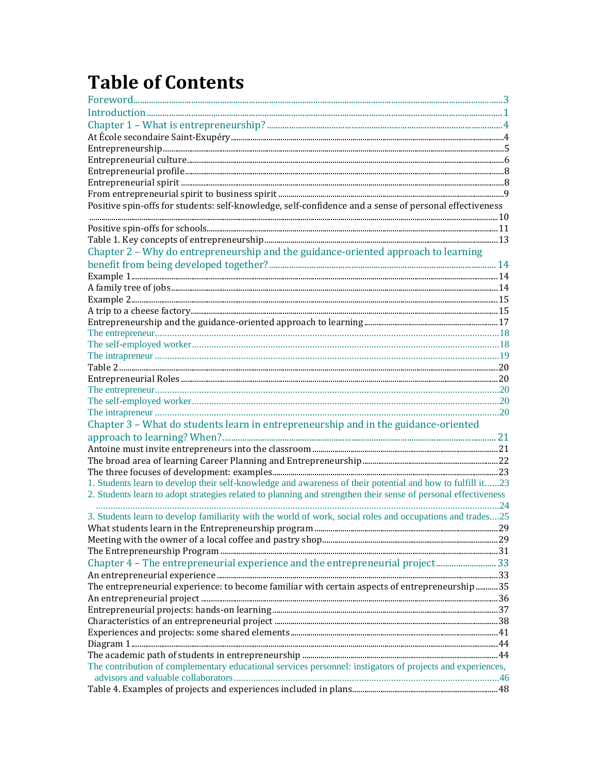# **Table of Contents**

| Positive spin-offs for students: self-knowledge, self-confidence and a sense of personal effectiveness         |     |
|----------------------------------------------------------------------------------------------------------------|-----|
|                                                                                                                |     |
|                                                                                                                |     |
| Chapter 2 - Why do entrepreneurship and the guidance-oriented approach to learning                             |     |
|                                                                                                                |     |
|                                                                                                                |     |
|                                                                                                                |     |
|                                                                                                                |     |
|                                                                                                                |     |
|                                                                                                                |     |
|                                                                                                                |     |
|                                                                                                                |     |
|                                                                                                                |     |
|                                                                                                                |     |
|                                                                                                                |     |
|                                                                                                                |     |
|                                                                                                                |     |
|                                                                                                                |     |
| Chapter 3 - What do students learn in entrepreneurship and in the guidance-oriented                            |     |
|                                                                                                                |     |
|                                                                                                                |     |
|                                                                                                                |     |
|                                                                                                                |     |
| 1. Students learn to develop their self-knowledge and awareness of their potential and how to fulfill it23     |     |
| 2. Students learn to adopt strategies related to planning and strengthen their sense of personal effectiveness |     |
|                                                                                                                | .24 |
| 3. Students learn to develop familiarity with the world of work, social roles and occupations and trades25     |     |
| What students learn in the Entrepreneurship program                                                            | .29 |
|                                                                                                                |     |
|                                                                                                                |     |
| Chapter 4 – The entrepreneurial experience and the entrepreneurial project33                                   |     |
|                                                                                                                |     |
| The entrepreneurial experience: to become familiar with certain aspects of entrepreneurship 35                 |     |
|                                                                                                                |     |
|                                                                                                                |     |
|                                                                                                                |     |
|                                                                                                                |     |
|                                                                                                                |     |
|                                                                                                                |     |
| The contribution of complementary educational services personnel: instigators of projects and experiences,     |     |
|                                                                                                                |     |
|                                                                                                                |     |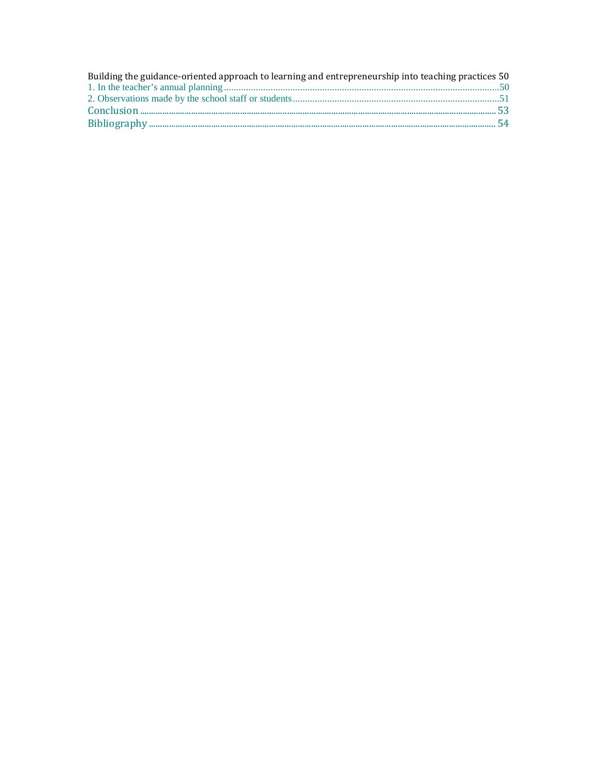| Building the guidance-oriented approach to learning and entrepreneurship into teaching practices 50 |  |
|-----------------------------------------------------------------------------------------------------|--|
|                                                                                                     |  |
|                                                                                                     |  |
|                                                                                                     |  |
|                                                                                                     |  |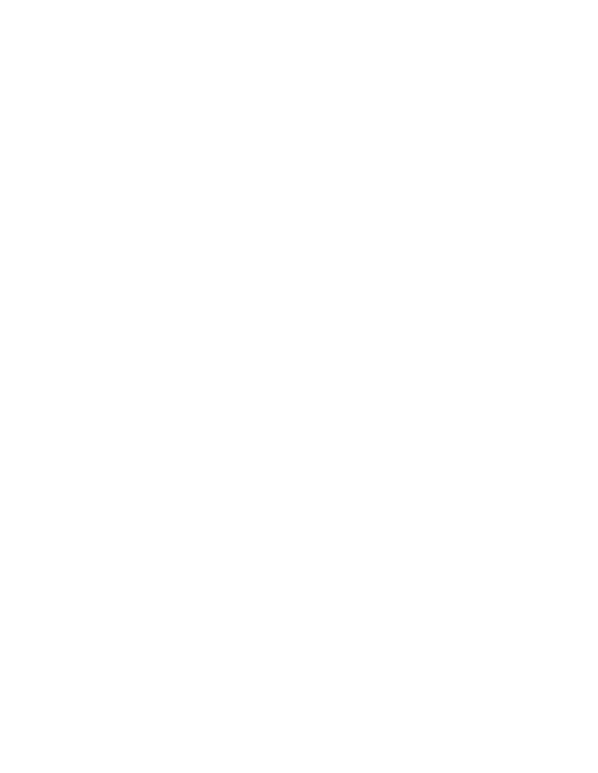<span id="page-6-0"></span>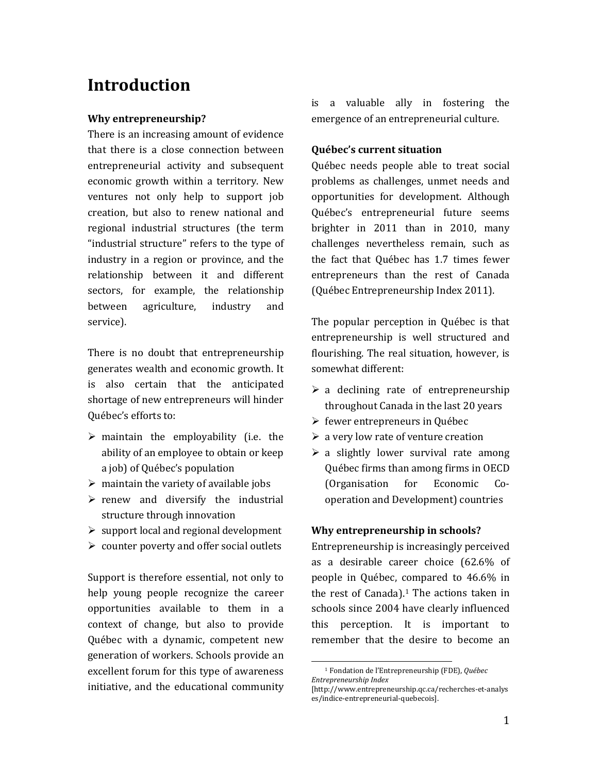## **Introduction**

#### **Why entrepreneurship?**

There is an increasing amount of evidence that there is a close connection between entrepreneurial activity and subsequent economic growth within a territory. New ventures not only help to support job creation, but also to renew national and regional industrial structures (the term "industrial structure" refers to the type of industry in a region or province, and the relationship between it and different sectors, for example, the relationship between agriculture, industry and service).

There is no doubt that entrepreneurship generates wealth and economic growth. It is also certain that the anticipated shortage of new entrepreneurs will hinder Québec's efforts to:

- $\triangleright$  maintain the employability (i.e. the ability of an employee to obtain or keep a job) of Québec's population
- $\triangleright$  maintain the variety of available jobs
- $\triangleright$  renew and diversify the industrial structure through innovation
- $\triangleright$  support local and regional development
- $\triangleright$  counter poverty and offer social outlets

Support is therefore essential, not only to help young people recognize the career opportunities available to them in a context of change, but also to provide Québec with a dynamic, competent new generation of workers. Schools provide an excellent forum for this type of awareness initiative, and the educational community

is a valuable ally in fostering the emergence of an entrepreneurial culture.

#### **Québec's current situation**

Québec needs people able to treat social problems as challenges, unmet needs and opportunities for development. Although Québec's entrepreneurial future seems brighter in 2011 than in 2010, many challenges nevertheless remain, such as the fact that Québec has 1.7 times fewer entrepreneurs than the rest of Canada (Québec Entrepreneurship Index 2011).

The popular perception in Québec is that entrepreneurship is well structured and flourishing. The real situation, however, is somewhat different:

- $\triangleright$  a declining rate of entrepreneurship throughout Canada in the last 20 years
- $\triangleright$  fewer entrepreneurs in Québec
- $\triangleright$  a very low rate of venture creation
- $\triangleright$  a slightly lower survival rate among Québec firms than among firms in OECD (Organisation for Economic Cooperation and Development) countries

#### **Why entrepreneurship in schools?**

Entrepreneurship is increasingly perceived as a desirable career choice (62.6% of people in Québec, compared to 46.6% in the rest of Canada). $^1$  $^1$  The actions taken in schools since 2004 have clearly influenced this perception. It is important to remember that the desire to become an

j

<sup>1</sup> Fondation de l'Entrepreneurship (FDE), *Québec Entrepreneurship Index*

<sup>[</sup>http://www.entrepreneurship.qc.ca/recherches-et-analys es/indice-entrepreneurial-quebecois].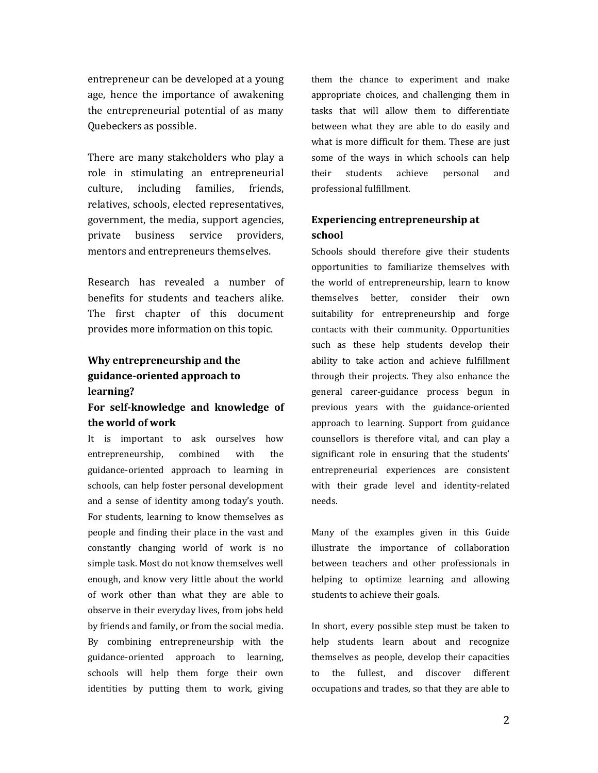entrepreneur can be developed at a young age, hence the importance of awakening the entrepreneurial potential of as many Quebeckers as possible.

There are many stakeholders who play a role in stimulating an entrepreneurial culture, including families, friends, relatives, schools, elected representatives, government, the media, support agencies, private business service providers, mentors and entrepreneurs themselves.

Research has revealed a number of benefits for students and teachers alike. The first chapter of this document provides more information on this topic.

## **Why entrepreneurship and the guidance-oriented approach to learning?**

## **For self-knowledge and knowledge of the world of work**

It is important to ask ourselves how entrepreneurship, combined with the guidance-oriented approach to learning in schools, can help foster personal development and a sense of identity among today's youth. For students, learning to know themselves as people and finding their place in the vast and constantly changing world of work is no simple task. Most do not know themselves well enough, and know very little about the world of work other than what they are able to observe in their everyday lives, from jobs held by friends and family, or from the social media. By combining entrepreneurship with the guidance-oriented approach to learning, schools will help them forge their own identities by putting them to work, giving

them the chance to experiment and make appropriate choices, and challenging them in tasks that will allow them to differentiate between what they are able to do easily and what is more difficult for them. These are just some of the ways in which schools can help their students achieve personal and professional fulfillment.

## **Experiencing entrepreneurship at school**

Schools should therefore give their students opportunities to familiarize themselves with the world of entrepreneurship, learn to know themselves better, consider their own suitability for entrepreneurship and forge contacts with their community. Opportunities such as these help students develop their ability to take action and achieve fulfillment through their projects. They also enhance the general career-guidance process begun in previous years with the guidance-oriented approach to learning. Support from guidance counsellors is therefore vital, and can play a significant role in ensuring that the students' entrepreneurial experiences are consistent with their grade level and identity-related needs.

Many of the examples given in this Guide illustrate the importance of collaboration between teachers and other professionals in helping to optimize learning and allowing students to achieve their goals.

In short, every possible step must be taken to help students learn about and recognize themselves as people, develop their capacities to the fullest, and discover different occupations and trades, so that they are able to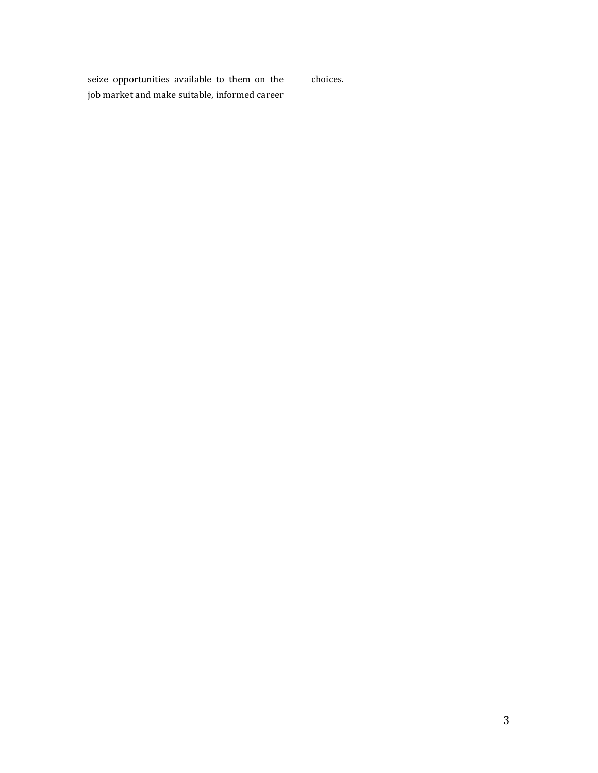seize opportunities available to them on the job market and make suitable, informed career

choices.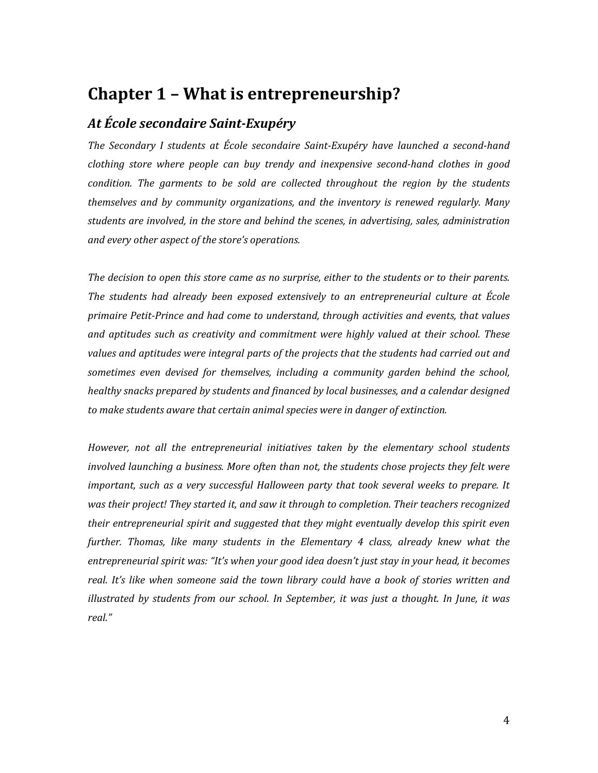## <span id="page-10-0"></span>**Chapter 1 – What is entrepreneurship?**

## <span id="page-10-1"></span>*At École secondaire Saint-Exupéry*

*The Secondary I students at École secondaire Saint-Exupéry have launched a second-hand clothing store where people can buy trendy and inexpensive second-hand clothes in good condition. The garments to be sold are collected throughout the region by the students themselves and by community organizations, and the inventory is renewed regularly. Many students are involved, in the store and behind the scenes, in advertising, sales, administration and every other aspect of the store's operations.*

*The decision to open this store came as no surprise, either to the students or to their parents. The students had already been exposed extensively to an entrepreneurial culture at École primaire Petit-Prince and had come to understand, through activities and events, that values and aptitudes such as creativity and commitment were highly valued at their school. These values and aptitudes were integral parts of the projects that the students had carried out and sometimes even devised for themselves, including a community garden behind the school, healthy snacks prepared by students and financed by local businesses, and a calendar designed to make students aware that certain animal species were in danger of extinction.*

<span id="page-10-2"></span>*However, not all the entrepreneurial initiatives taken by the elementary school students involved launching a business. More often than not, the students chose projects they felt were important, such as a very successful Halloween party that took several weeks to prepare. It was their project! They started it, and saw it through to completion. Their teachers recognized their entrepreneurial spirit and suggested that they might eventually develop this spirit even further. Thomas, like many students in the Elementary 4 class, already knew what the entrepreneurial spirit was: "It's when your good idea doesn't just stay in your head, it becomes real. It's like when someone said the town library could have a book of stories written and illustrated by students from our school. In September, it was just a thought. In June, it was real."*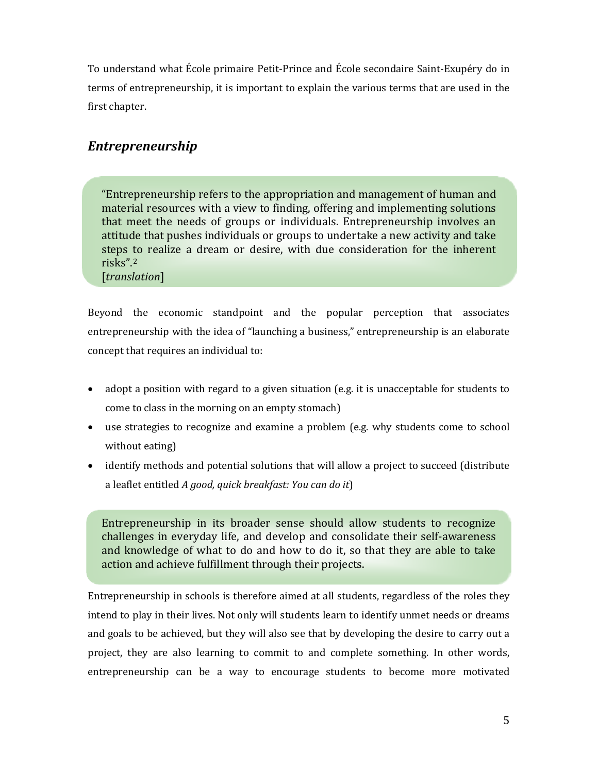To understand what École primaire Petit-Prince and École secondaire Saint-Exupéry do in terms of entrepreneurship, it is important to explain the various terms that are used in the first chapter.

## <span id="page-11-0"></span>*Entrepreneurship*

"Entrepreneurship refers to the appropriation and management of human and material resources with a view to finding, offering and implementing solutions that meet the needs of groups or individuals. Entrepreneurship involves an attitude that pushes individuals or groups to undertake a new activity and take steps to realize a dream or desire, with due consideration for the inherent risks".[2](#page-10-2)

[*translation*]

Beyond the economic standpoint and the popular perception that associates entrepreneurship with the idea of "launching a business," entrepreneurship is an elaborate concept that requires an individual to:

- adopt a position with regard to a given situation (e.g. it is unacceptable for students to come to class in the morning on an empty stomach)
- use strategies to recognize and examine a problem (e.g. why students come to school without eating)
- identify methods and potential solutions that will allow a project to succeed (distribute a leaflet entitled *A good, quick breakfast: You can do it*)

Entrepreneurship in its broader sense should allow students to recognize challenges in everyday life, and develop and consolidate their self-awareness and knowledge of what to do and how to do it, so that they are able to take action and achieve fulfillment through their projects.

Entrepreneurship in schools is therefore aimed at all students, regardless of the roles they intend to play in their lives. Not only will students learn to identify unmet needs or dreams and goals to be achieved, but they will also see that by developing the desire to carry out a project, they are also learning to commit to and complete something. In other words, entrepreneurship can be a way to encourage students to become more motivated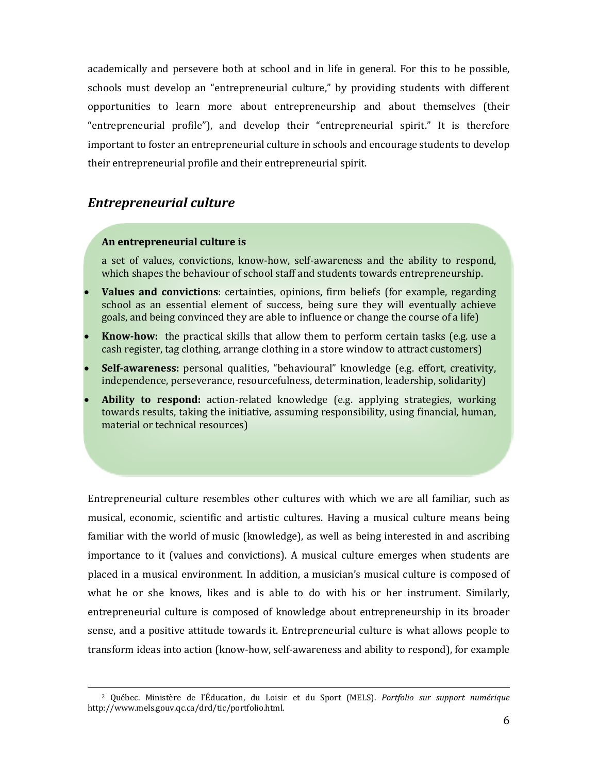academically and persevere both at school and in life in general. For this to be possible, schools must develop an "entrepreneurial culture," by providing students with different opportunities to learn more about entrepreneurship and about themselves (their "entrepreneurial profile"), and develop their "entrepreneurial spirit." It is therefore important to foster an entrepreneurial culture in schools and encourage students to develop their entrepreneurial profile and their entrepreneurial spirit.

## <span id="page-12-0"></span>*Entrepreneurial culture*

 $\overline{a}$ 

#### **An entrepreneurial culture is**

a set of values, convictions, know-how, self-awareness and the ability to respond, which shapes the behaviour of school staff and students towards entrepreneurship.

- **Values and convictions**: certainties, opinions, firm beliefs (for example, regarding school as an essential element of success, being sure they will eventually achieve goals, and being convinced they are able to influence or change the course of a life)
- **Know-how:** the practical skills that allow them to perform certain tasks (e.g. use a cash register, tag clothing, arrange clothing in a store window to attract customers)
- **Self-awareness:** personal qualities, "behavioural" knowledge (e.g. effort, creativity, independence, perseverance, resourcefulness, determination, leadership, solidarity)
- **Ability to respond:** action-related knowledge (e.g. applying strategies, working towards results, taking the initiative, assuming responsibility, using financial, human, material or technical resources)

Entrepreneurial culture resembles other cultures with which we are all familiar, such as musical, economic, scientific and artistic cultures. Having a musical culture means being familiar with the world of music (knowledge), as well as being interested in and ascribing importance to it (values and convictions). A musical culture emerges when students are placed in a musical environment. In addition, a musician's musical culture is composed of what he or she knows, likes and is able to do with his or her instrument. Similarly, entrepreneurial culture is composed of knowledge about entrepreneurship in its broader sense, and a positive attitude towards it. Entrepreneurial culture is what allows people to transform ideas into action (know-how, self-awareness and ability to respond), for example

<sup>2</sup> Québec. Ministère de l'Éducation, du Loisir et du Sport (MELS). *Portfolio sur support numérique*  http://www.mels.gouv.qc.ca/drd/tic/portfolio.html.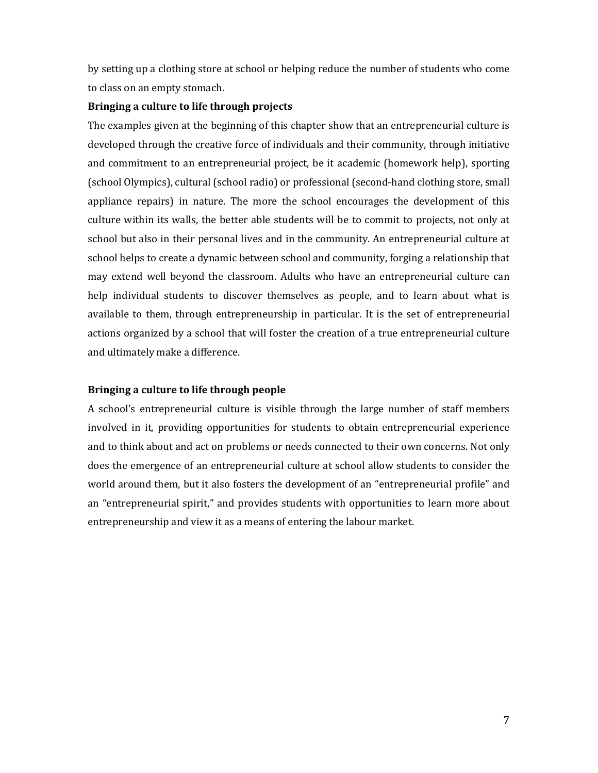by setting up a clothing store at school or helping reduce the number of students who come to class on an empty stomach.

#### **Bringing a culture to life through projects**

The examples given at the beginning of this chapter show that an entrepreneurial culture is developed through the creative force of individuals and their community, through initiative and commitment to an entrepreneurial project, be it academic (homework help), sporting (school Olympics), cultural (school radio) or professional (second-hand clothing store, small appliance repairs) in nature. The more the school encourages the development of this culture within its walls, the better able students will be to commit to projects, not only at school but also in their personal lives and in the community. An entrepreneurial culture at school helps to create a dynamic between school and community, forging a relationship that may extend well beyond the classroom. Adults who have an entrepreneurial culture can help individual students to discover themselves as people, and to learn about what is available to them, through entrepreneurship in particular. It is the set of entrepreneurial actions organized by a school that will foster the creation of a true entrepreneurial culture and ultimately make a difference.

#### **Bringing a culture to life through people**

A school's entrepreneurial culture is visible through the large number of staff members involved in it, providing opportunities for students to obtain entrepreneurial experience and to think about and act on problems or needs connected to their own concerns. Not only does the emergence of an entrepreneurial culture at school allow students to consider the world around them, but it also fosters the development of an "entrepreneurial profile" and an "entrepreneurial spirit," and provides students with opportunities to learn more about entrepreneurship and view it as a means of entering the labour market.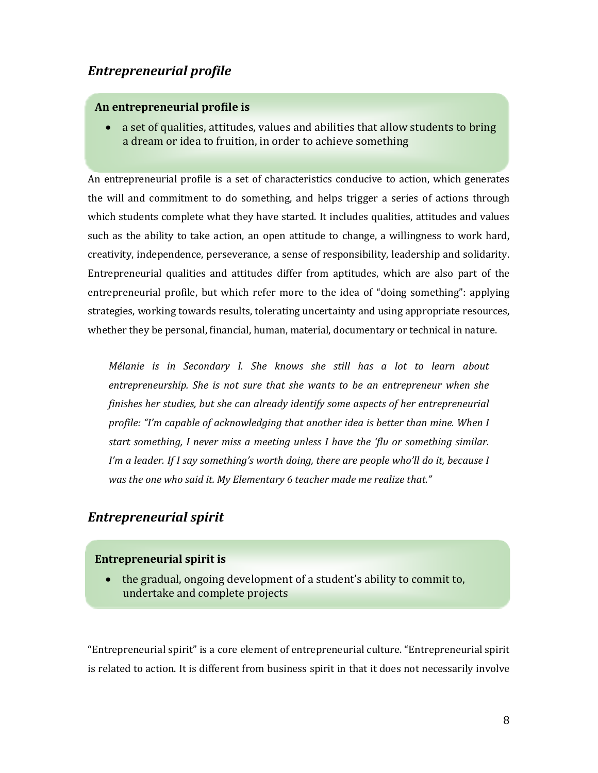## <span id="page-14-0"></span>*Entrepreneurial profile*

### **An entrepreneurial profile is**

• a set of qualities, attitudes, values and abilities that allow students to bring a dream or idea to fruition, in order to achieve something

An entrepreneurial profile is a set of characteristics conducive to action, which generates the will and commitment to do something, and helps trigger a series of actions through which students complete what they have started. It includes qualities, attitudes and values such as the ability to take action, an open attitude to change, a willingness to work hard, creativity, independence, perseverance, a sense of responsibility, leadership and solidarity. Entrepreneurial qualities and attitudes differ from aptitudes, which are also part of the entrepreneurial profile, but which refer more to the idea of "doing something": applying strategies, working towards results, tolerating uncertainty and using appropriate resources, whether they be personal, financial, human, material, documentary or technical in nature.

*Mélanie is in Secondary I. She knows she still has a lot to learn about entrepreneurship. She is not sure that she wants to be an entrepreneur when she finishes her studies, but she can already identify some aspects of her entrepreneurial profile: "I'm capable of acknowledging that another idea is better than mine. When I start something, I never miss a meeting unless I have the 'flu or something similar. I'm a leader. If I say something's worth doing, there are people who'll do it, because I was the one who said it. My Elementary 6 teacher made me realize that."*

## <span id="page-14-1"></span>*Entrepreneurial spirit*

#### **Entrepreneurial spirit is**

• the gradual, ongoing development of a student's ability to commit to, undertake and complete projects

<span id="page-14-2"></span>"Entrepreneurial spirit" is a core element of entrepreneurial culture. "Entrepreneurial spirit is related to action. It is different from business spirit in that it does not necessarily involve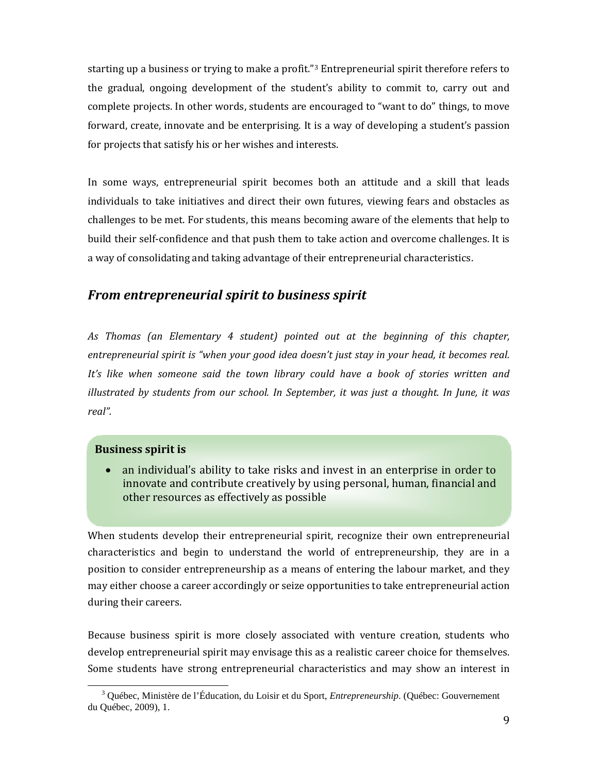starting up a business or trying to make a profit."[3](#page-14-2) Entrepreneurial spirit therefore refers to the gradual, ongoing development of the student's ability to commit to, carry out and complete projects. In other words, students are encouraged to "want to do" things, to move forward, create, innovate and be enterprising. It is a way of developing a student's passion for projects that satisfy his or her wishes and interests.

In some ways, entrepreneurial spirit becomes both an attitude and a skill that leads individuals to take initiatives and direct their own futures, viewing fears and obstacles as challenges to be met. For students, this means becoming aware of the elements that help to build their self-confidence and that push them to take action and overcome challenges. It is a way of consolidating and taking advantage of their entrepreneurial characteristics.

## <span id="page-15-0"></span>*From entrepreneurial spirit to business spirit*

*As Thomas (an Elementary 4 student) pointed out at the beginning of this chapter, entrepreneurial spirit is "when your good idea doesn't just stay in your head, it becomes real.*  It's like when someone said the town library could have a book of stories written and *illustrated by students from our school. In September, it was just a thought. In June, it was real".*

#### **Business spirit is**

• an individual's ability to take risks and invest in an enterprise in order to innovate and contribute creatively by using personal, human, financial and other resources as effectively as possible

When students develop their entrepreneurial spirit, recognize their own entrepreneurial characteristics and begin to understand the world of entrepreneurship, they are in a position to consider entrepreneurship as a means of entering the labour market, and they may either choose a career accordingly or seize opportunities to take entrepreneurial action during their careers.

Because business spirit is more closely associated with venture creation, students who develop entrepreneurial spirit may envisage this as a realistic career choice for themselves. Some students have strong entrepreneurial characteristics and may show an interest in

<span id="page-15-1"></span> <sup>3</sup> Québec, Ministère de l'Éducation, du Loisir et du Sport, *Entrepreneurship*. (Québec: Gouvernement du Québec, 2009), 1.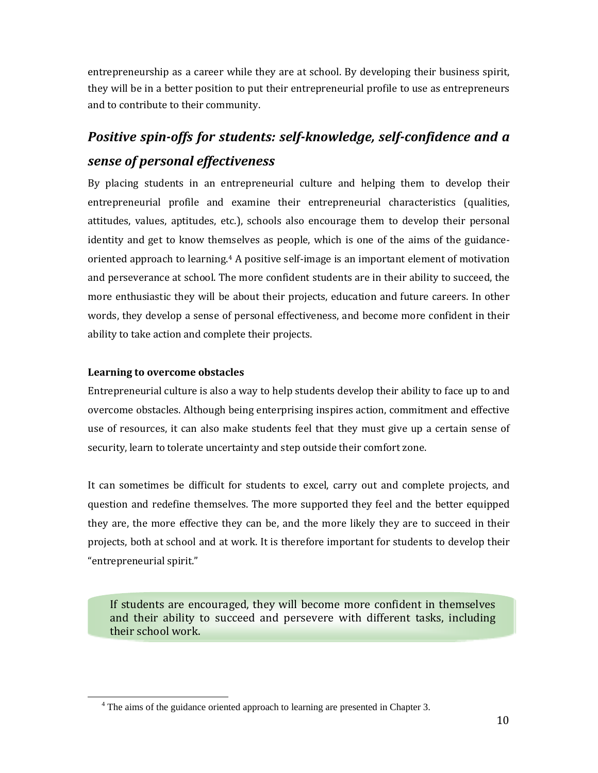entrepreneurship as a career while they are at school. By developing their business spirit, they will be in a better position to put their entrepreneurial profile to use as entrepreneurs and to contribute to their community.

## <span id="page-16-0"></span>*Positive spin-offs for students: self-knowledge, self-confidence and a sense of personal effectiveness*

By placing students in an entrepreneurial culture and helping them to develop their entrepreneurial profile and examine their entrepreneurial characteristics (qualities, attitudes, values, aptitudes, etc.), schools also encourage them to develop their personal identity and get to know themselves as people, which is one of the aims of the guidanceoriented approach to learning.[4](#page-15-1) A positive self-image is an important element of motivation and perseverance at school. The more confident students are in their ability to succeed, the more enthusiastic they will be about their projects, education and future careers. In other words, they develop a sense of personal effectiveness, and become more confident in their ability to take action and complete their projects.

### **Learning to overcome obstacles**

Entrepreneurial culture is also a way to help students develop their ability to face up to and overcome obstacles. Although being enterprising inspires action, commitment and effective use of resources, it can also make students feel that they must give up a certain sense of security, learn to tolerate uncertainty and step outside their comfort zone.

It can sometimes be difficult for students to excel, carry out and complete projects, and question and redefine themselves. The more supported they feel and the better equipped they are, the more effective they can be, and the more likely they are to succeed in their projects, both at school and at work. It is therefore important for students to develop their "entrepreneurial spirit."

If students are encouraged, they will become more confident in themselves and their ability to succeed and persevere with different tasks, including their school work.

<span id="page-16-1"></span><sup>&</sup>lt;sup>4</sup> The aims of the guidance oriented approach to learning are presented in Chapter 3.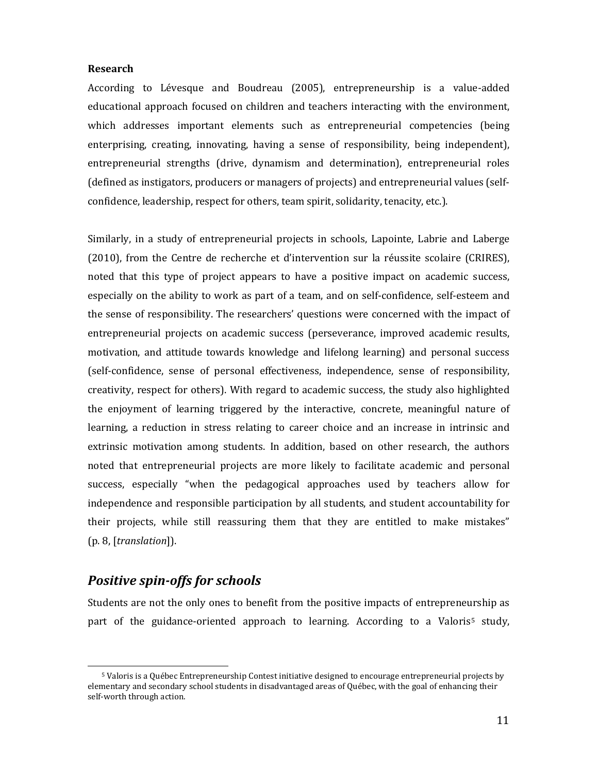#### **Research**

According to Lévesque and Boudreau (2005), entrepreneurship is a value-added educational approach focused on children and teachers interacting with the environment, which addresses important elements such as entrepreneurial competencies (being enterprising, creating, innovating, having a sense of responsibility, being independent), entrepreneurial strengths (drive, dynamism and determination), entrepreneurial roles (defined as instigators, producers or managers of projects) and entrepreneurial values (selfconfidence, leadership, respect for others, team spirit, solidarity, tenacity, etc.).

Similarly, in a study of entrepreneurial projects in schools, Lapointe, Labrie and Laberge (2010), from the Centre de recherche et d'intervention sur la réussite scolaire (CRIRES), noted that this type of project appears to have a positive impact on academic success, especially on the ability to work as part of a team, and on self-confidence, self-esteem and the sense of responsibility. The researchers' questions were concerned with the impact of entrepreneurial projects on academic success (perseverance, improved academic results, motivation, and attitude towards knowledge and lifelong learning) and personal success (self-confidence, sense of personal effectiveness, independence, sense of responsibility, creativity, respect for others). With regard to academic success, the study also highlighted the enjoyment of learning triggered by the interactive, concrete, meaningful nature of learning, a reduction in stress relating to career choice and an increase in intrinsic and extrinsic motivation among students. In addition, based on other research, the authors noted that entrepreneurial projects are more likely to facilitate academic and personal success, especially "when the pedagogical approaches used by teachers allow for independence and responsible participation by all students, and student accountability for their projects, while still reassuring them that they are entitled to make mistakes" (p. 8, [*translation*]).

## <span id="page-17-0"></span>*Positive spin-offs for schools*

 $\overline{a}$ 

Students are not the only ones to benefit from the positive impacts of entrepreneurship as part of the guidance-oriented approach to learning. According to a Valoris<sup>[5](#page-16-1)</sup> study,

<sup>5</sup> Valoris is a Québec Entrepreneurship Contest initiative designed to encourage entrepreneurial projects by elementary and secondary school students in disadvantaged areas of Québec, with the goal of enhancing their self-worth through action.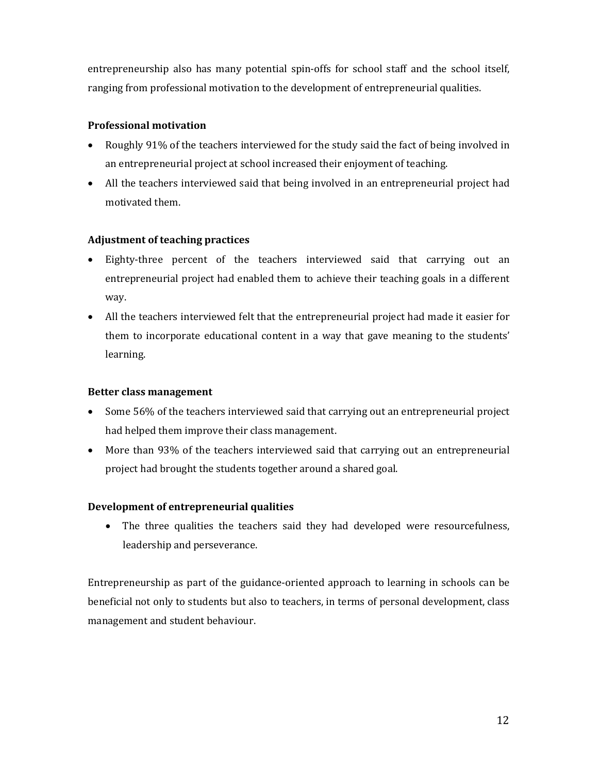entrepreneurship also has many potential spin-offs for school staff and the school itself, ranging from professional motivation to the development of entrepreneurial qualities.

### **Professional motivation**

- Roughly 91% of the teachers interviewed for the study said the fact of being involved in an entrepreneurial project at school increased their enjoyment of teaching.
- All the teachers interviewed said that being involved in an entrepreneurial project had motivated them.

### **Adjustment of teaching practices**

- Eighty-three percent of the teachers interviewed said that carrying out an entrepreneurial project had enabled them to achieve their teaching goals in a different way.
- All the teachers interviewed felt that the entrepreneurial project had made it easier for them to incorporate educational content in a way that gave meaning to the students' learning.

### **Better class management**

- Some 56% of the teachers interviewed said that carrying out an entrepreneurial project had helped them improve their class management.
- More than 93% of the teachers interviewed said that carrying out an entrepreneurial project had brought the students together around a shared goal.

### **Development of entrepreneurial qualities**

• The three qualities the teachers said they had developed were resourcefulness, leadership and perseverance.

Entrepreneurship as part of the guidance-oriented approach to learning in schools can be beneficial not only to students but also to teachers, in terms of personal development, class management and student behaviour.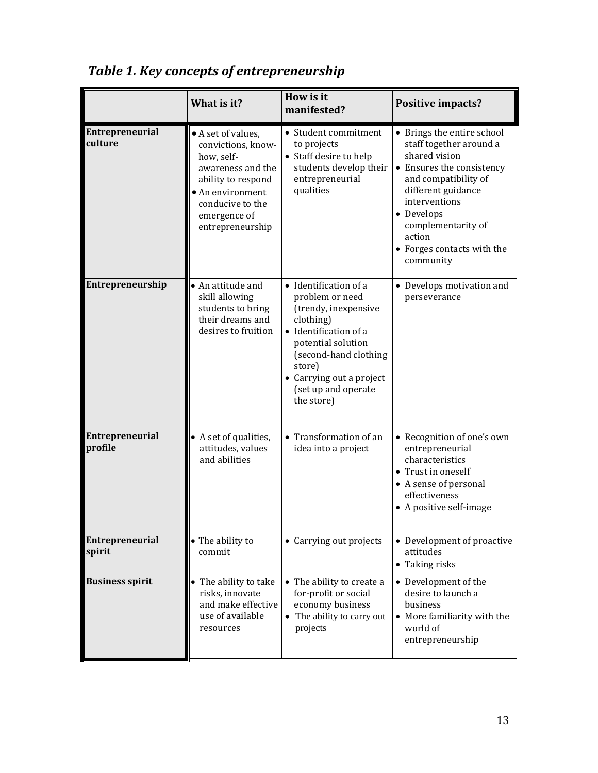|                                   | What is it?                                                                                                                                                                   | How is it<br>manifested?                                                                                                                                                                                                         | Positive impacts?                                                                                                                                                                                                                                           |
|-----------------------------------|-------------------------------------------------------------------------------------------------------------------------------------------------------------------------------|----------------------------------------------------------------------------------------------------------------------------------------------------------------------------------------------------------------------------------|-------------------------------------------------------------------------------------------------------------------------------------------------------------------------------------------------------------------------------------------------------------|
| <b>Entrepreneurial</b><br>culture | • A set of values,<br>convictions, know-<br>how, self-<br>awareness and the<br>ability to respond<br>• An environment<br>conducive to the<br>emergence of<br>entrepreneurship | • Student commitment<br>to projects<br>• Staff desire to help<br>students develop their<br>entrepreneurial<br>qualities                                                                                                          | • Brings the entire school<br>staff together around a<br>shared vision<br>• Ensures the consistency<br>and compatibility of<br>different guidance<br>interventions<br>• Develops<br>complementarity of<br>action<br>• Forges contacts with the<br>community |
| Entrepreneurship                  | • An attitude and<br>skill allowing<br>students to bring<br>their dreams and<br>desires to fruition                                                                           | · Identification of a<br>problem or need<br>(trendy, inexpensive<br>clothing)<br>• Identification of a<br>potential solution<br>(second-hand clothing<br>store)<br>• Carrying out a project<br>(set up and operate<br>the store) | • Develops motivation and<br>perseverance                                                                                                                                                                                                                   |
| <b>Entrepreneurial</b><br>profile | • A set of qualities,<br>attitudes, values<br>and abilities                                                                                                                   | • Transformation of an<br>idea into a project                                                                                                                                                                                    | • Recognition of one's own<br>entrepreneurial<br>characteristics<br>• Trust in oneself<br>• A sense of personal<br>effectiveness<br>• A positive self-image                                                                                                 |
| Entrepreneurial<br>spirit         | • The ability to<br>commit                                                                                                                                                    | • Carrying out projects                                                                                                                                                                                                          | • Development of proactive<br>attitudes<br>• Taking risks                                                                                                                                                                                                   |
| <b>Business spirit</b>            | • The ability to take<br>risks, innovate<br>and make effective<br>use of available<br>resources                                                                               | • The ability to create a<br>for-profit or social<br>economy business<br>• The ability to carry out<br>projects                                                                                                                  | • Development of the<br>desire to launch a<br>business<br>• More familiarity with the<br>world of<br>entrepreneurship                                                                                                                                       |

## <span id="page-19-0"></span>*Table 1. Key concepts of entrepreneurship*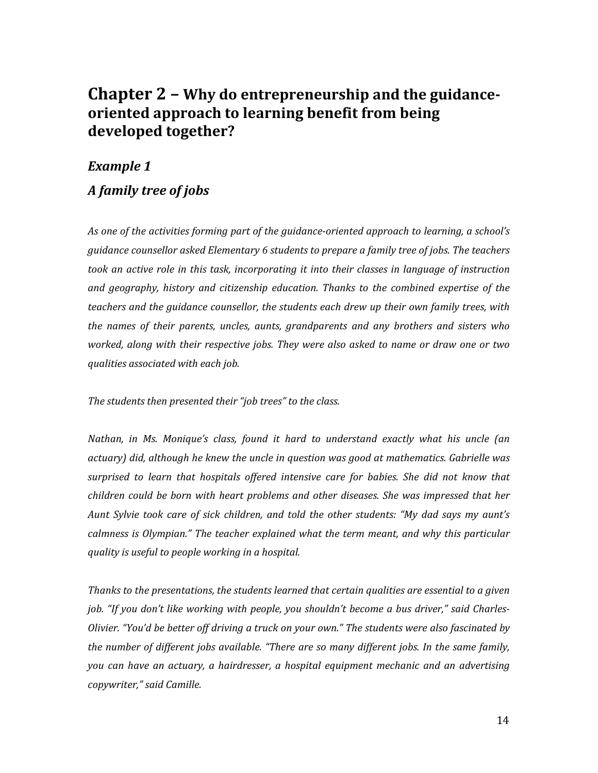## <span id="page-20-0"></span>**Chapter 2 – Why do entrepreneurship and the guidanceoriented approach to learning benefit from being developed together?**

## <span id="page-20-1"></span>*Example 1*

## <span id="page-20-2"></span>*A family tree of jobs*

*As one of the activities forming part of the guidance-oriented approach to learning, a school's guidance counsellor asked Elementary 6 students to prepare a family tree of jobs. The teachers took an active role in this task, incorporating it into their classes in language of instruction and geography, history and citizenship education. Thanks to the combined expertise of the teachers and the guidance counsellor, the students each drew up their own family trees, with the names of their parents, uncles, aunts, grandparents and any brothers and sisters who worked, along with their respective jobs. They were also asked to name or draw one or two qualities associated with each job.*

*The students then presented their "job trees" to the class.*

*Nathan, in Ms. Monique's class, found it hard to understand exactly what his uncle (an actuary) did, although he knew the uncle in question was good at mathematics. Gabrielle was surprised to learn that hospitals offered intensive care for babies. She did not know that children could be born with heart problems and other diseases. She was impressed that her Aunt Sylvie took care of sick children, and told the other students: "My dad says my aunt's calmness is Olympian." The teacher explained what the term meant, and why this particular quality is useful to people working in a hospital.*

*Thanks to the presentations, the students learned that certain qualities are essential to a given job. "If you don't like working with people, you shouldn't become a bus driver," said Charles-Olivier. "You'd be better off driving a truck on your own." The students were also fascinated by the number of different jobs available. "There are so many different jobs. In the same family, you can have an actuary, a hairdresser, a hospital equipment mechanic and an advertising copywriter," said Camille.*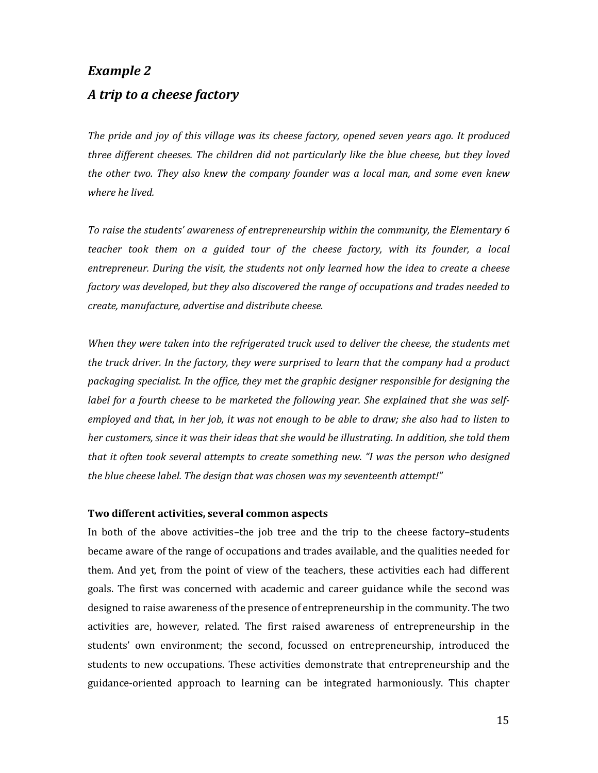## <span id="page-21-1"></span><span id="page-21-0"></span>*Example 2 A trip to a cheese factory*

*The pride and joy of this village was its cheese factory, opened seven years ago. It produced three different cheeses. The children did not particularly like the blue cheese, but they loved the other two. They also knew the company founder was a local man, and some even knew where he lived.*

*To raise the students' awareness of entrepreneurship within the community, the Elementary 6 teacher took them on a guided tour of the cheese factory, with its founder, a local entrepreneur. During the visit, the students not only learned how the idea to create a cheese factory was developed, but they also discovered the range of occupations and trades needed to create, manufacture, advertise and distribute cheese.*

*When they were taken into the refrigerated truck used to deliver the cheese, the students met the truck driver. In the factory, they were surprised to learn that the company had a product packaging specialist. In the office, they met the graphic designer responsible for designing the label for a fourth cheese to be marketed the following year. She explained that she was selfemployed and that, in her job, it was not enough to be able to draw; she also had to listen to her customers, since it was their ideas that she would be illustrating. In addition, she told them that it often took several attempts to create something new. "I was the person who designed the blue cheese label. The design that was chosen was my seventeenth attempt!"*

#### **Two different activities, several common aspects**

In both of the above activities–the job tree and the trip to the cheese factory–students became aware of the range of occupations and trades available, and the qualities needed for them. And yet, from the point of view of the teachers, these activities each had different goals. The first was concerned with academic and career guidance while the second was designed to raise awareness of the presence of entrepreneurship in the community. The two activities are, however, related. The first raised awareness of entrepreneurship in the students' own environment; the second, focussed on entrepreneurship, introduced the students to new occupations. These activities demonstrate that entrepreneurship and the guidance-oriented approach to learning can be integrated harmoniously. This chapter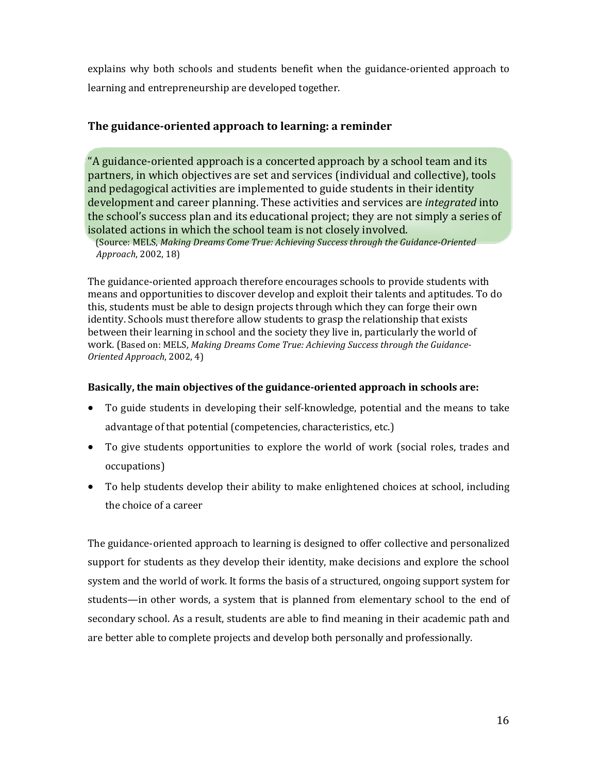explains why both schools and students benefit when the guidance-oriented approach to learning and entrepreneurship are developed together.

## **The guidance-oriented approach to learning: a reminder**

"A guidance-oriented approach is a concerted approach by a school team and its partners, in which objectives are set and services (individual and collective), tools and pedagogical activities are implemented to guide students in their identity development and career planning. These activities and services are *integrated* into the school's success plan and its educational project; they are not simply a series of isolated actions in which the school team is not closely involved.

 (Source: MELS, *Making Dreams Come True: Achieving Success through the Guidance-Oriented Approach*, 2002, 18)

The guidance-oriented approach therefore encourages schools to provide students with means and opportunities to discover develop and exploit their talents and aptitudes. To do this, students must be able to design projects through which they can forge their own identity. Schools must therefore allow students to grasp the relationship that exists between their learning in school and the society they live in, particularly the world of work. (Based on: MELS, *Making Dreams Come True: Achieving Success through the Guidance-Oriented Approach*, 2002, 4)

### **Basically, the main objectives of the guidance-oriented approach in schools are:**

- To guide students in developing their self-knowledge, potential and the means to take advantage of that potential (competencies, characteristics, etc.)
- To give students opportunities to explore the world of work (social roles, trades and occupations)
- To help students develop their ability to make enlightened choices at school, including the choice of a career

<span id="page-22-0"></span>The guidance-oriented approach to learning is designed to offer collective and personalized support for students as they develop their identity, make decisions and explore the school system and the world of work. It forms the basis of a structured, ongoing support system for students—in other words, a system that is planned from elementary school to the end of secondary school. As a result, students are able to find meaning in their academic path and are better able to complete projects and develop both personally and professionally.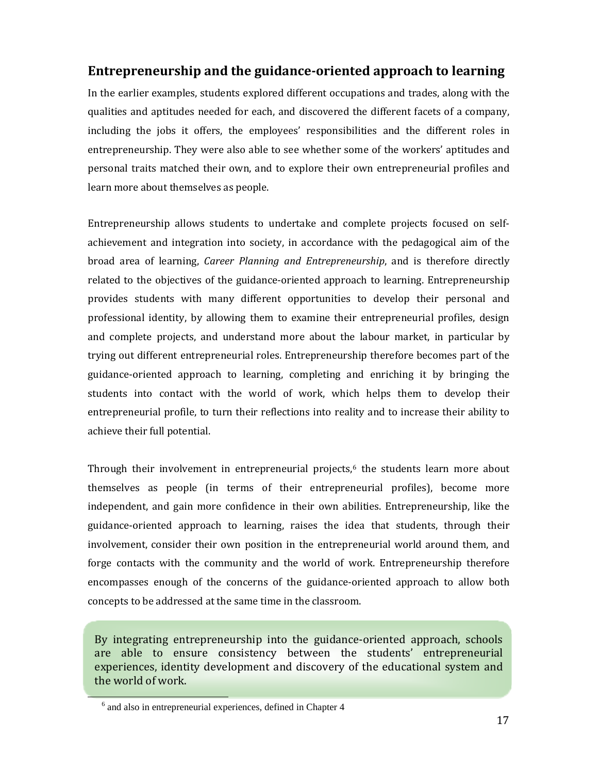## <span id="page-23-0"></span>**Entrepreneurship and the guidance-oriented approach to learning**

In the earlier examples, students explored different occupations and trades, along with the qualities and aptitudes needed for each, and discovered the different facets of a company, including the jobs it offers, the employees' responsibilities and the different roles in entrepreneurship. They were also able to see whether some of the workers' aptitudes and personal traits matched their own, and to explore their own entrepreneurial profiles and learn more about themselves as people.

Entrepreneurship allows students to undertake and complete projects focused on selfachievement and integration into society, in accordance with the pedagogical aim of the broad area of learning, *Career Planning and Entrepreneurship*, and is therefore directly related to the objectives of the guidance-oriented approach to learning. Entrepreneurship provides students with many different opportunities to develop their personal and professional identity, by allowing them to examine their entrepreneurial profiles, design and complete projects, and understand more about the labour market, in particular by trying out different entrepreneurial roles. Entrepreneurship therefore becomes part of the guidance-oriented approach to learning, completing and enriching it by bringing the students into contact with the world of work, which helps them to develop their entrepreneurial profile, to turn their reflections into reality and to increase their ability to achieve their full potential.

Through their involvement in entrepreneurial projects, $6$  the students learn more about themselves as people (in terms of their entrepreneurial profiles), become more independent, and gain more confidence in their own abilities. Entrepreneurship, like the guidance-oriented approach to learning, raises the idea that students, through their involvement, consider their own position in the entrepreneurial world around them, and forge contacts with the community and the world of work. Entrepreneurship therefore encompasses enough of the concerns of the guidance-oriented approach to allow both concepts to be addressed at the same time in the classroom.

By integrating entrepreneurship into the guidance-oriented approach, schools are able to ensure consistency between the students' entrepreneurial experiences, identity development and discovery of the educational system and the world of work.

<span id="page-23-1"></span> <sup>6</sup> and also in entrepreneurial experiences, defined in Chapter 4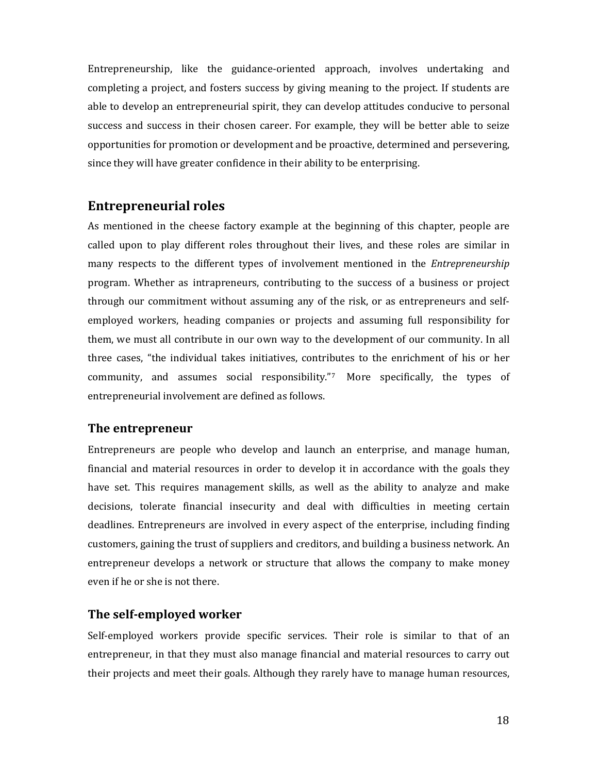Entrepreneurship, like the guidance-oriented approach, involves undertaking and completing a project, and fosters success by giving meaning to the project. If students are able to develop an entrepreneurial spirit, they can develop attitudes conducive to personal success and success in their chosen career. For example, they will be better able to seize opportunities for promotion or development and be proactive, determined and persevering, since they will have greater confidence in their ability to be enterprising.

## **Entrepreneurial roles**

As mentioned in the cheese factory example at the beginning of this chapter, people are called upon to play different roles throughout their lives, and these roles are similar in many respects to the different types of involvement mentioned in the *Entrepreneurship* program. Whether as intrapreneurs, contributing to the success of a business or project through our commitment without assuming any of the risk, or as entrepreneurs and selfemployed workers, heading companies or projects and assuming full responsibility for them, we must all contribute in our own way to the development of our community. In all three cases, "the individual takes initiatives, contributes to the enrichment of his or her community, and assumes social responsibility."[7](#page-23-1) More specifically, the types of entrepreneurial involvement are defined as follows.

### <span id="page-24-0"></span>**The entrepreneur**

Entrepreneurs are people who develop and launch an enterprise, and manage human, financial and material resources in order to develop it in accordance with the goals they have set. This requires management skills, as well as the ability to analyze and make decisions, tolerate financial insecurity and deal with difficulties in meeting certain deadlines. Entrepreneurs are involved in every aspect of the enterprise, including finding customers, gaining the trust of suppliers and creditors, and building a business network. An entrepreneur develops a network or structure that allows the company to make money even if he or she is not there.

### <span id="page-24-1"></span>**The self-employed worker**

Self-employed workers provide specific services. Their role is similar to that of an entrepreneur, in that they must also manage financial and material resources to carry out their projects and meet their goals. Although they rarely have to manage human resources,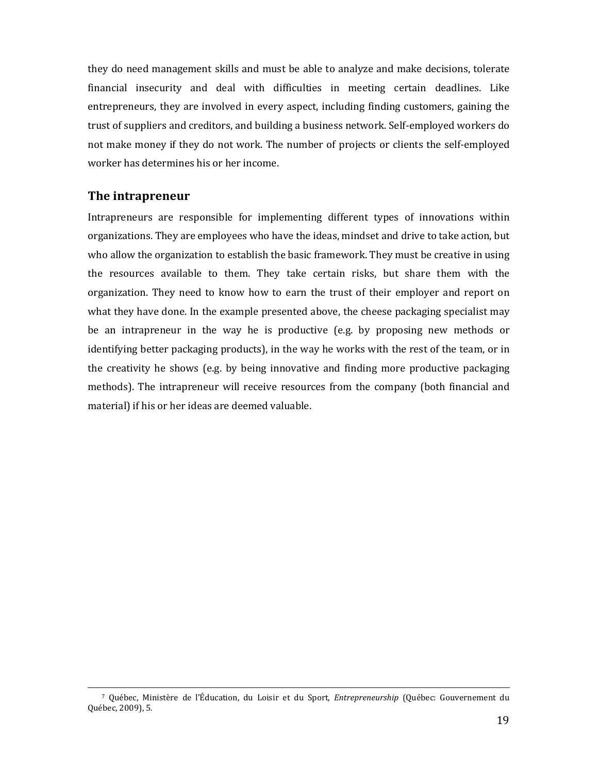they do need management skills and must be able to analyze and make decisions, tolerate financial insecurity and deal with difficulties in meeting certain deadlines. Like entrepreneurs, they are involved in every aspect, including finding customers, gaining the trust of suppliers and creditors, and building a business network. Self-employed workers do not make money if they do not work. The number of projects or clients the self-employed worker has determines his or her income.

### <span id="page-25-0"></span>**The intrapreneur**

 $\overline{a}$ 

Intrapreneurs are responsible for implementing different types of innovations within organizations. They are employees who have the ideas, mindset and drive to take action, but who allow the organization to establish the basic framework. They must be creative in using the resources available to them. They take certain risks, but share them with the organization. They need to know how to earn the trust of their employer and report on what they have done. In the example presented above, the cheese packaging specialist may be an intrapreneur in the way he is productive (e.g. by proposing new methods or identifying better packaging products), in the way he works with the rest of the team, or in the creativity he shows (e.g. by being innovative and finding more productive packaging methods). The intrapreneur will receive resources from the company (both financial and material) if his or her ideas are deemed valuable.

<sup>7</sup> Québec, Ministère de l'Éducation, du Loisir et du Sport, *Entrepreneurship* (Québec: Gouvernement du Québec, 2009), 5.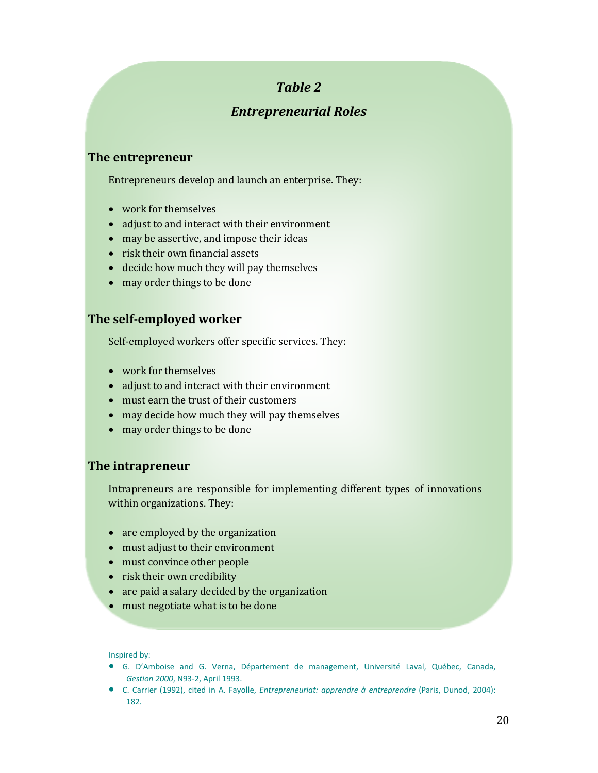## <span id="page-26-0"></span>*Table 2*

## *Entrepreneurial Roles*

### <span id="page-26-2"></span><span id="page-26-1"></span>**The entrepreneur**

Entrepreneurs develop and launch an enterprise. They:

- work for themselves
- adjust to and interact with their environment
- may be assertive, and impose their ideas
- risk their own financial assets
- decide how much they will pay themselves
- may order things to be done

## <span id="page-26-3"></span>**The self-employed worker**

Self-employed workers offer specific services. They:

- work for themselves
- adjust to and interact with their environment
- must earn the trust of their customers
- may decide how much they will pay themselves
- may order things to be done

## <span id="page-26-4"></span>**The intrapreneur**

Intrapreneurs are responsible for implementing different types of innovations within organizations. They:

- are employed by the organization
- must adjust to their environment
- must convince other people
- risk their own credibility
- are paid a salary decided by the organization
- must negotiate what is to be done

#### Inspired by:

- G. D'Amboise and G. Verna, Département de management, Université Laval, Québec, Canada, *Gestion 2000*, N93-2, April 1993.
- C. Carrier (1992), cited in A. Fayolle, *Entrepreneuriat: apprendre à entreprendre* (Paris, Dunod, 2004): 182.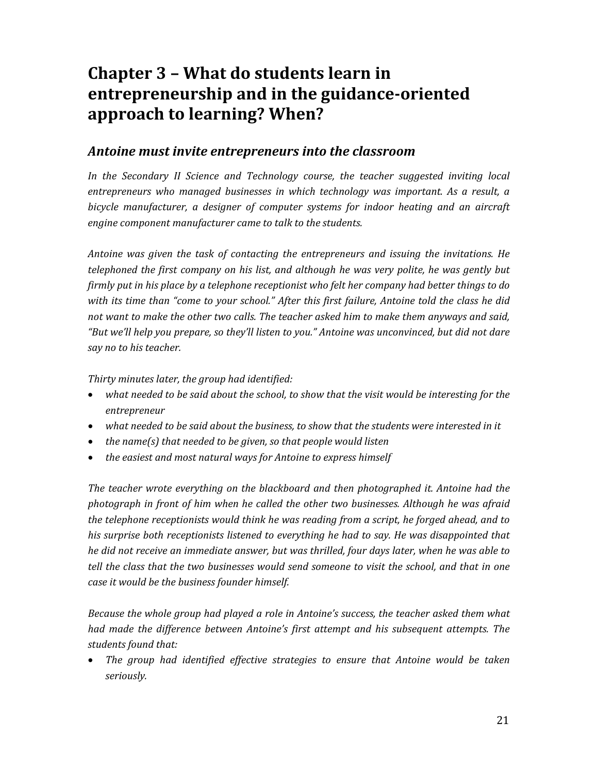## <span id="page-27-0"></span>**Chapter 3 – What do students learn in entrepreneurship and in the guidance-oriented approach to learning? When?**

## <span id="page-27-1"></span>*Antoine must invite entrepreneurs into the classroom*

*In the Secondary II Science and Technology course, the teacher suggested inviting local entrepreneurs who managed businesses in which technology was important. As a result, a bicycle manufacturer, a designer of computer systems for indoor heating and an aircraft engine component manufacturer came to talk to the students.*

*Antoine was given the task of contacting the entrepreneurs and issuing the invitations. He telephoned the first company on his list, and although he was very polite, he was gently but firmly put in his place by a telephone receptionist who felt her company had better things to do with its time than "come to your school." After this first failure, Antoine told the class he did not want to make the other two calls. The teacher asked him to make them anyways and said, "But we'll help you prepare, so they'll listen to you." Antoine was unconvinced, but did not dare say no to his teacher.*

*Thirty minutes later, the group had identified:*

- *what needed to be said about the school, to show that the visit would be interesting for the entrepreneur*
- *what needed to be said about the business, to show that the students were interested in it*
- *the name(s) that needed to be given, so that people would listen*
- *the easiest and most natural ways for Antoine to express himself*

*The teacher wrote everything on the blackboard and then photographed it. Antoine had the photograph in front of him when he called the other two businesses. Although he was afraid the telephone receptionists would think he was reading from a script, he forged ahead, and to his surprise both receptionists listened to everything he had to say. He was disappointed that he did not receive an immediate answer, but was thrilled, four days later, when he was able to tell the class that the two businesses would send someone to visit the school, and that in one case it would be the business founder himself.*

*Because the whole group had played a role in Antoine's success, the teacher asked them what had made the difference between Antoine's first attempt and his subsequent attempts. The students found that:*

<span id="page-27-2"></span>• *The group had identified effective strategies to ensure that Antoine would be taken seriously.*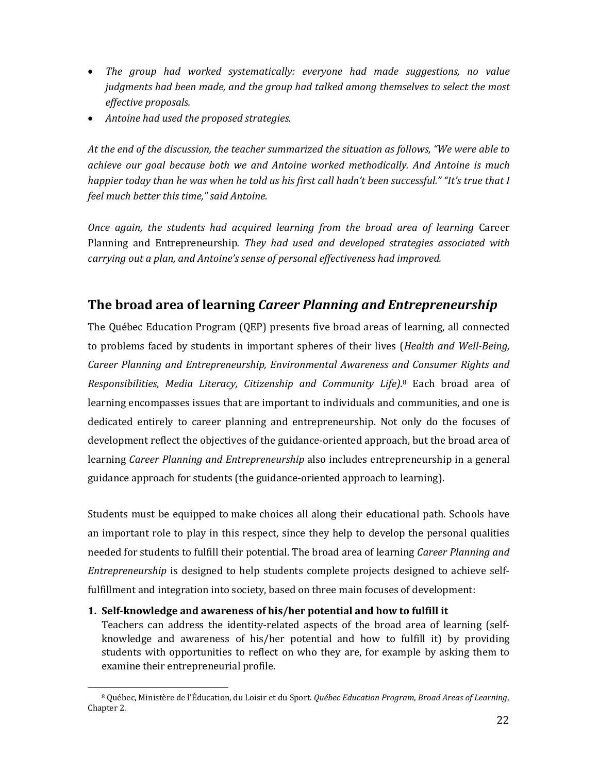- *The group had worked systematically: everyone had made suggestions, no value judgments had been made, and the group had talked among themselves to select the most effective proposals.*
- *Antoine had used the proposed strategies.*

*At the end of the discussion, the teacher summarized the situation as follows, "We were able to achieve our goal because both we and Antoine worked methodically. And Antoine is much happier today than he was when he told us his first call hadn't been successful." "It's true that I feel much better this time," said Antoine.*

*Once again, the students had acquired learning from the broad area of learning* Career Planning and Entrepreneurship*. They had used and developed strategies associated with carrying out a plan, and Antoine's sense of personal effectiveness had improved.*

## <span id="page-28-0"></span>**The broad area of learning** *Career Planning and Entrepreneurship*

The Québec Education Program (QEP) presents five broad areas of learning, all connected to problems faced by students in important spheres of their lives (*Health and Well-Being, Career Planning and Entrepreneurship, Environmental Awareness a[nd](#page-27-2) Consumer Rights and Responsibilities, Media Literacy, Citizenship and Community Life).*<sup>8</sup> Each broad area of learning encompasses issues that are important to individuals and communities, and one is dedicated entirely to career planning and entrepreneurship. Not only do the focuses of development reflect the objectives of the guidance-oriented approach, but the broad area of learning *Career Planning and Entrepreneurship* also includes entrepreneurship in a general guidance approach for students (the guidance-oriented approach to learning).

Students must be equipped to make choices all along their educational path. Schools have an important role to play in this respect, since they help to develop the personal qualities needed for students to fulfill their potential. The broad area of learning *Career Planning and Entrepreneurship* is designed to help students complete projects designed to achieve selffulfillment and integration into society, based on three main focuses of development:

### **1. Self-knowledge and awareness of his/her potential and how to fulfill it**

 $\overline{a}$ 

Teachers can address the identity-related aspects of the broad area of learning (selfknowledge and awareness of his/her potential and how to fulfill it) by providing students with opportunities to reflect on who they are, for example by asking them to examine their entrepreneurial profile.

<sup>8</sup> Québec, Ministère de l'Éducation, du Loisir et du Sport. *Québec Education Program*, *Broad Areas of Learning*, Chapter 2.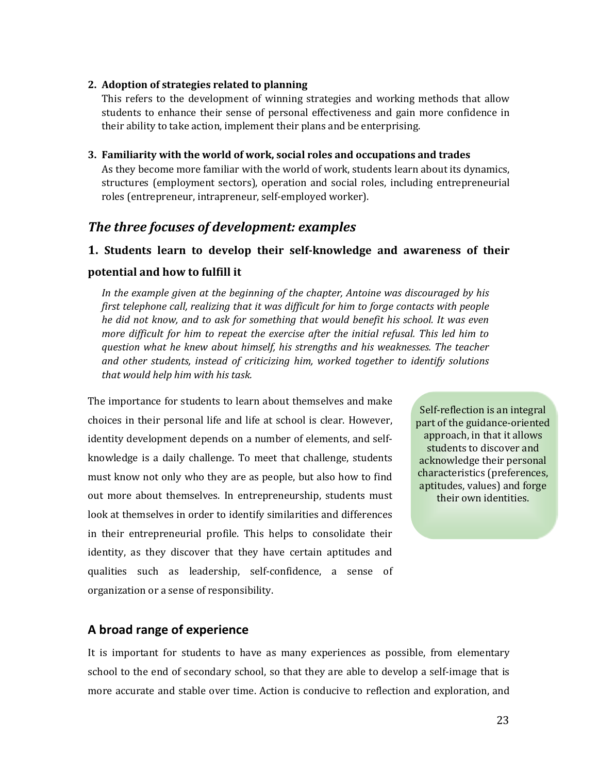#### **2. Adoption of strategies related to planning**

This refers to the development of winning strategies and working methods that allow students to enhance their sense of personal effectiveness and gain more confidence in their ability to take action, implement their plans and be enterprising.

#### **3. Familiarity with the world of work, social roles and occupations and trades**

As they become more familiar with the world of work, students learn about its dynamics, structures (employment sectors), operation and social roles, including entrepreneurial roles (entrepreneur, intrapreneur, self-employed worker).

## <span id="page-29-0"></span>*The three focuses of development: examples*

#### <span id="page-29-1"></span>**1. Students learn to develop their self-knowledge and awareness of their**

#### **potential and how to fulfill it**

*In the example given at the beginning of the chapter, Antoine was discouraged by his first telephone call, realizing that it was difficult for him to forge contacts with people he did not know, and to ask for something that would benefit his school. It was even more difficult for him to repeat the exercise after the initial refusal. This led him to question what he knew about himself, his strengths and his weaknesses. The teacher and other students, instead of criticizing him, worked together to identify solutions that would help him with his task.*

The importance for students to learn about themselves and make choices in their personal life and life at school is clear. However, identity development depends on a number of elements, and selfknowledge is a daily challenge. To meet that challenge, students must know not only who they are as people, but also how to find out more about themselves. In entrepreneurship, students must look at themselves in order to identify similarities and differences in their entrepreneurial profile. This helps to consolidate their identity, as they discover that they have certain aptitudes and qualities such as leadership, self-confidence, a sense of organization or a sense of responsibility.

Self-reflection is an integral part of the guidance-oriented approach, in that it allows students to discover and acknowledge their personal characteristics (preferences, aptitudes, values) and forge their own identities.

### **A broad range of experience**

<span id="page-29-4"></span><span id="page-29-3"></span><span id="page-29-2"></span>It is important for students to have as many experiences as possible, from elementary school to the end of secondary school, so that they are able to develop a self-image that is more accurate and stable over time. Action is conducive to reflection and exploration, and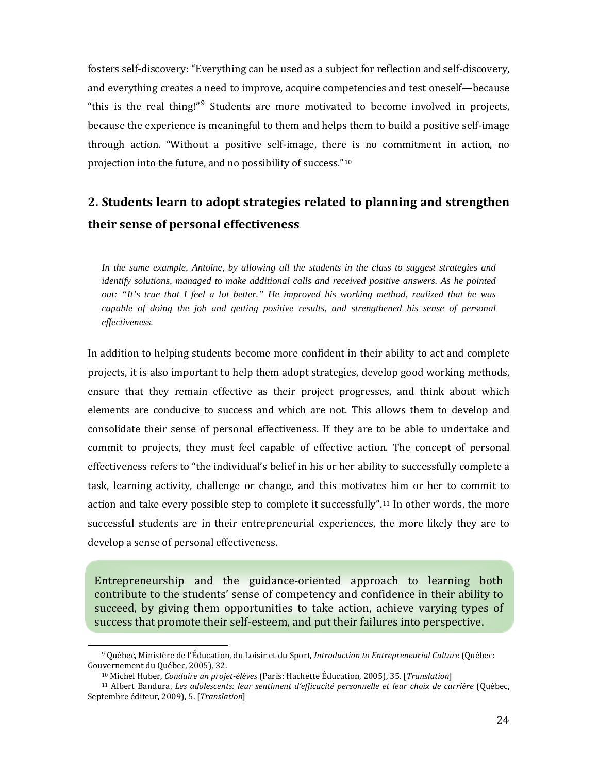fosters self-discovery: "Everything can be used as a subject for reflection and self-discovery, and everything creates a need to improve, acquire competencies and test oneself—because "this is the real thing!"<sup>[9](#page-29-2)</sup> Students are more motivated to become involved in projects, because the experience is meaningful to them and helps them to build a positive self-image through action. "Without a positive self-image, there is no commitment in action, no projection into the future, and no possibility of success."[10](#page-29-3)

## <span id="page-30-0"></span>**2. Students learn to adopt strategies related to planning and strengthen their sense of personal effectiveness**

*In the same example, Antoine, by allowing all the students in the class to suggest strategies and identify solutions, managed to make additional calls and received positive answers. As he pointed out: "It's true that I feel a lot better." He improved his working method, realized that he was capable of doing the job and getting positive results, and strengthened his sense of personal effectiveness.*

In addition to helping students become more confident in their ability to act and complete projects, it is also important to help them adopt strategies, develop good working methods, ensure that they remain effective as their project progresses, and think about which elements are conducive to success and which are not. This allows them to develop and consolidate their sense of personal effectiveness. If they are to be able to undertake and commit to projects, they must feel capable of effective action. The concept of personal effectiveness refers to "the individual's belief in his or her ability to successfully complete a task, learning activity, challenge or change, and this motivates him or her to commit to action and take every possible step to complete it successfully".<sup>[11](#page-29-4)</sup> In other words, the more successful students are in their entrepreneurial experiences, the more likely they are to develop a sense of personal effectiveness.

Entrepreneurship and the guidance-oriented approach to learning both contribute to the students' sense of competency and confidence in their ability to succeed, by giving them opportunities to take action, achieve varying types of success that promote their self-esteem, and put their failures into perspective.

 $\overline{a}$ 

<sup>9</sup> Québec, Ministère de l'Éducation, du Loisir et du Sport, *Introduction to Entrepreneurial Culture* (Québec: Gouvernement du Québec, 2005), 32.

<sup>10</sup> Michel Huber, *Conduire un projet-élèves* (Paris: Hachette Éducation, 2005), 35. [*Translation*]

<sup>11</sup> Albert Bandura, Les adolescents: leur sentiment d'efficacité personnelle et leur choix de carrière (Québec, Septembre éditeur, 2009), 5. [*Translation*]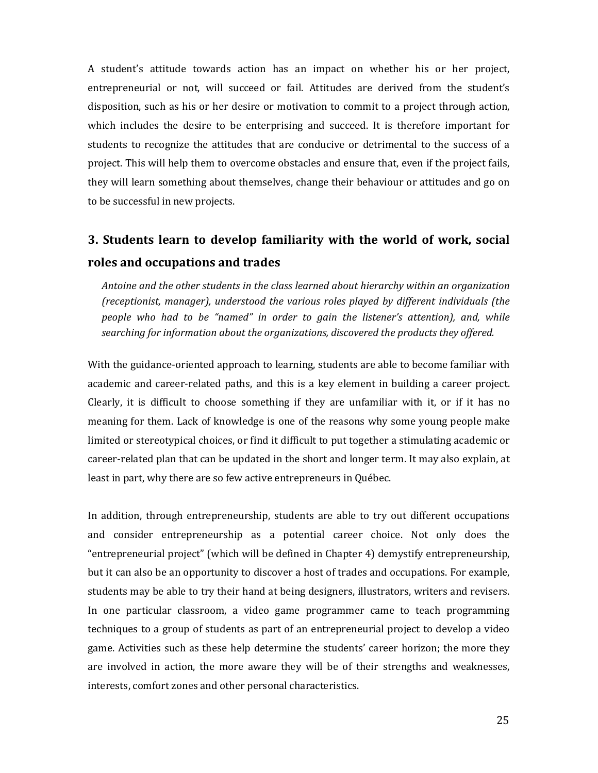A student's attitude towards action has an impact on whether his or her project, entrepreneurial or not, will succeed or fail. Attitudes are derived from the student's disposition, such as his or her desire or motivation to commit to a project through action, which includes the desire to be enterprising and succeed. It is therefore important for students to recognize the attitudes that are conducive or detrimental to the success of a project. This will help them to overcome obstacles and ensure that, even if the project fails, they will learn something about themselves, change their behaviour or attitudes and go on to be successful in new projects.

## <span id="page-31-0"></span>**3. Students learn to develop familiarity with the world of work, social roles and occupations and trades**

*Antoine and the other students in the class learned about hierarchy within an organization (receptionist, manager), understood the various roles played by different individuals (the people who had to be "named" in order to gain the listener's attention), and, while searching for information about the organizations, discovered the products they offered.*

With the guidance-oriented approach to learning, students are able to become familiar with academic and career-related paths, and this is a key element in building a career project. Clearly, it is difficult to choose something if they are unfamiliar with it, or if it has no meaning for them. Lack of knowledge is one of the reasons why some young people make limited or stereotypical choices, or find it difficult to put together a stimulating academic or career-related plan that can be updated in the short and longer term. It may also explain, at least in part, why there are so few active entrepreneurs in Québec.

In addition, through entrepreneurship, students are able to try out different occupations and consider entrepreneurship as a potential career choice. Not only does the "entrepreneurial project" (which will be defined in Chapter 4) demystify entrepreneurship, but it can also be an opportunity to discover a host of trades and occupations. For example, students may be able to try their hand at being designers, illustrators, writers and revisers. In one particular classroom, a video game programmer came to teach programming techniques to a group of students as part of an entrepreneurial project to develop a video game. Activities such as these help determine the students' career horizon; the more they are involved in action, the more aware they will be of their strengths and weaknesses, interests, comfort zones and other personal characteristics.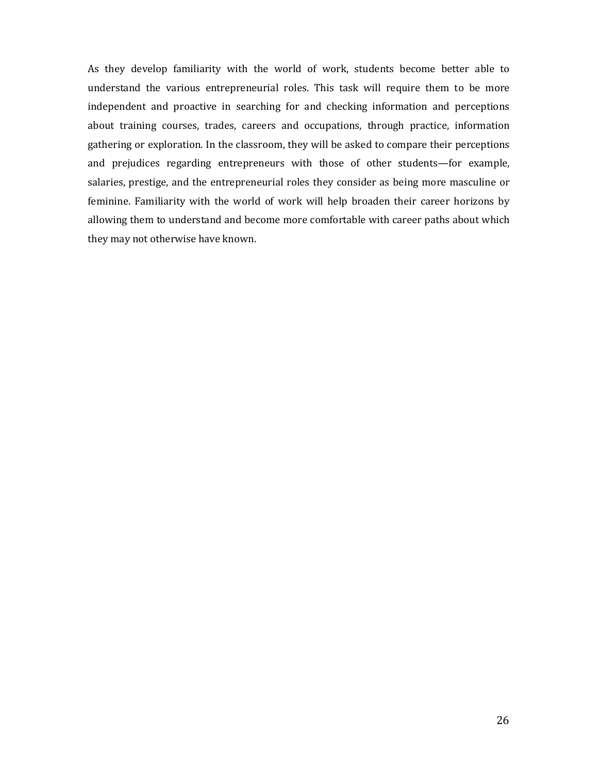As they develop familiarity with the world of work, students become better able to understand the various entrepreneurial roles. This task will require them to be more independent and proactive in searching for and checking information and perceptions about training courses, trades, careers and occupations, through practice, information gathering or exploration. In the classroom, they will be asked to compare their perceptions and prejudices regarding entrepreneurs with those of other students—for example, salaries, prestige, and the entrepreneurial roles they consider as being more masculine or feminine. Familiarity with the world of work will help broaden their career horizons by allowing them to understand and become more comfortable with career paths about which they may not otherwise have known.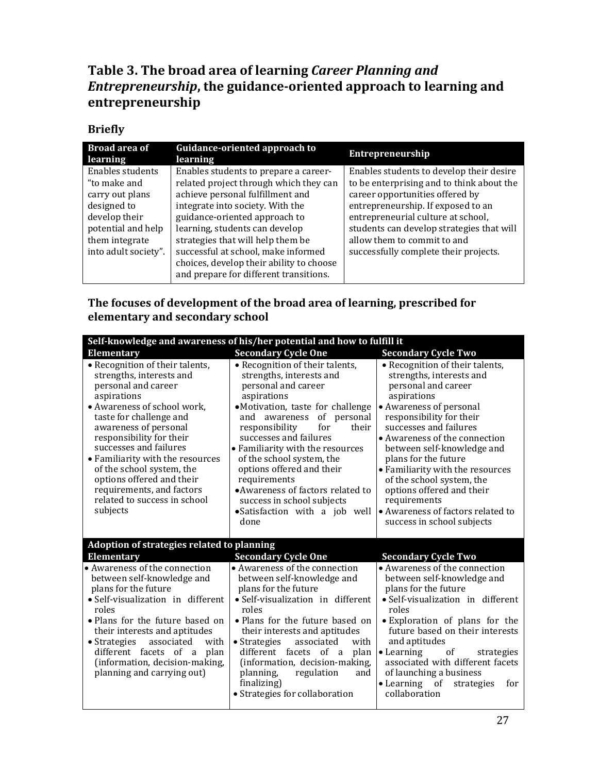## **Table 3. The broad area of learning** *Career Planning and Entrepreneurship***, the guidance-oriented approach to learning and entrepreneurship**

## **Briefly**

| <b>Broad area of</b><br>learning                                                                                                                    | Guidance-oriented approach to<br>learning                                                                                                                                                                                                                                                                                                                                                    | Entrepreneurship                                                                                                                                                                                                                                                                                                          |
|-----------------------------------------------------------------------------------------------------------------------------------------------------|----------------------------------------------------------------------------------------------------------------------------------------------------------------------------------------------------------------------------------------------------------------------------------------------------------------------------------------------------------------------------------------------|---------------------------------------------------------------------------------------------------------------------------------------------------------------------------------------------------------------------------------------------------------------------------------------------------------------------------|
| Enables students<br>"to make and<br>carry out plans<br>designed to<br>develop their<br>potential and help<br>them integrate<br>into adult society". | Enables students to prepare a career-<br>related project through which they can<br>achieve personal fulfillment and<br>integrate into society. With the<br>guidance-oriented approach to<br>learning, students can develop<br>strategies that will help them be<br>successful at school, make informed<br>choices, develop their ability to choose<br>and prepare for different transitions. | Enables students to develop their desire<br>to be enterprising and to think about the<br>career opportunities offered by<br>entrepreneurship. If exposed to an<br>entrepreneurial culture at school,<br>students can develop strategies that will<br>allow them to commit to and<br>successfully complete their projects. |

## **The focuses of development of the broad area of learning, prescribed for elementary and secondary school**

| Self-knowledge and awareness of his/her potential and how to fulfill it                                                                                                                                                                                                                                                                                                                                           |                                                                                                                                                                                                                                                                                                                                                                                                                                                                |                                                                                                                                                                                                                                                                                                                                                                                                                                                            |  |
|-------------------------------------------------------------------------------------------------------------------------------------------------------------------------------------------------------------------------------------------------------------------------------------------------------------------------------------------------------------------------------------------------------------------|----------------------------------------------------------------------------------------------------------------------------------------------------------------------------------------------------------------------------------------------------------------------------------------------------------------------------------------------------------------------------------------------------------------------------------------------------------------|------------------------------------------------------------------------------------------------------------------------------------------------------------------------------------------------------------------------------------------------------------------------------------------------------------------------------------------------------------------------------------------------------------------------------------------------------------|--|
| <b>Elementary</b>                                                                                                                                                                                                                                                                                                                                                                                                 | <b>Secondary Cycle One</b>                                                                                                                                                                                                                                                                                                                                                                                                                                     | <b>Secondary Cycle Two</b>                                                                                                                                                                                                                                                                                                                                                                                                                                 |  |
| • Recognition of their talents,<br>strengths, interests and<br>personal and career<br>aspirations<br>• Awareness of school work,<br>taste for challenge and<br>awareness of personal<br>responsibility for their<br>successes and failures<br>• Familiarity with the resources<br>of the school system, the<br>options offered and their<br>requirements, and factors<br>related to success in school<br>subjects | • Recognition of their talents,<br>strengths, interests and<br>personal and career<br>aspirations<br>•Motivation, taste for challenge<br>of personal<br>and<br>awareness<br>responsibility<br>for<br>their<br>successes and failures<br>• Familiarity with the resources<br>of the school system, the<br>options offered and their<br>requirements<br>• Awareness of factors related to<br>success in school subjects<br>•Satisfaction with a job well<br>done | • Recognition of their talents,<br>strengths, interests and<br>personal and career<br>aspirations<br>• Awareness of personal<br>responsibility for their<br>successes and failures<br>• Awareness of the connection<br>between self-knowledge and<br>plans for the future<br>• Familiarity with the resources<br>of the school system, the<br>options offered and their<br>requirements<br>• Awareness of factors related to<br>success in school subjects |  |
| Adoption of strategies related to planning<br>Elementary                                                                                                                                                                                                                                                                                                                                                          | <b>Secondary Cycle One</b>                                                                                                                                                                                                                                                                                                                                                                                                                                     | <b>Secondary Cycle Two</b>                                                                                                                                                                                                                                                                                                                                                                                                                                 |  |
| • Awareness of the connection<br>between self-knowledge and<br>plans for the future<br>• Self-visualization in different<br>roles<br>• Plans for the future based on<br>their interests and aptitudes<br>• Strategies<br>associated<br>with<br>different facets of a plan<br>(information, decision-making,<br>planning and carrying out)                                                                         | • Awareness of the connection<br>between self-knowledge and<br>plans for the future<br>• Self-visualization in different<br>roles<br>• Plans for the future based on<br>their interests and aptitudes<br>• Strategies<br>associated<br>with<br>different facets of a<br>plan<br>(information, decision-making,<br>regulation<br>planning,<br>and<br>finalizing)<br>• Strategies for collaboration                                                              | • Awareness of the connection<br>between self-knowledge and<br>plans for the future<br>• Self-visualization in different<br>roles<br>• Exploration of plans for the<br>future based on their interests<br>and aptitudes<br>$\bullet$ Learning<br>$\sigma$ of<br>strategies<br>associated with different facets<br>of launching a business<br>• Learning of<br>strategies<br>for<br>collaboration                                                           |  |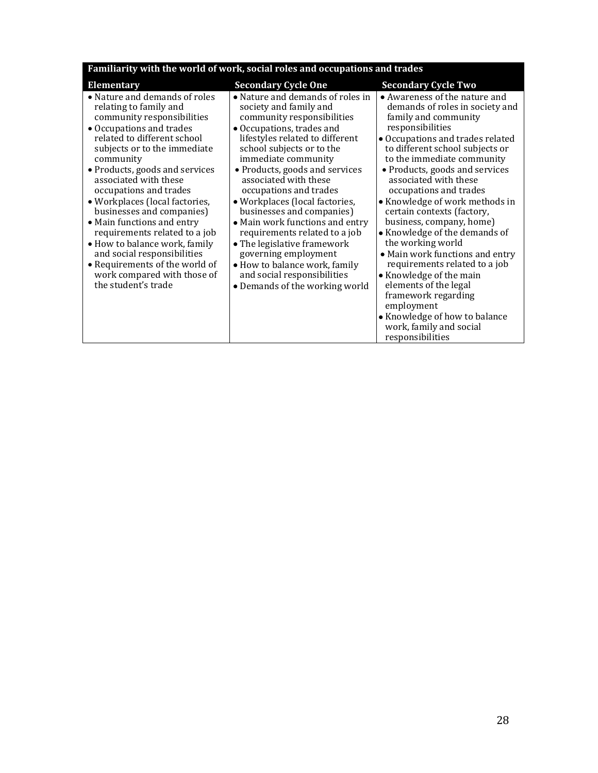| Familiarity with the world of work, social roles and occupations and trades                                                                                                                                                                                                                                                                                                                                                                                                                                                                                              |                                                                                                                                                                                                                                                                                                                                                                                                                                                                                                                                                                                                       |                                                                                                                                                                                                                                                                                                                                                                                                                                                                                                                                                                                                                                                                                                               |  |
|--------------------------------------------------------------------------------------------------------------------------------------------------------------------------------------------------------------------------------------------------------------------------------------------------------------------------------------------------------------------------------------------------------------------------------------------------------------------------------------------------------------------------------------------------------------------------|-------------------------------------------------------------------------------------------------------------------------------------------------------------------------------------------------------------------------------------------------------------------------------------------------------------------------------------------------------------------------------------------------------------------------------------------------------------------------------------------------------------------------------------------------------------------------------------------------------|---------------------------------------------------------------------------------------------------------------------------------------------------------------------------------------------------------------------------------------------------------------------------------------------------------------------------------------------------------------------------------------------------------------------------------------------------------------------------------------------------------------------------------------------------------------------------------------------------------------------------------------------------------------------------------------------------------------|--|
| <b>Elementary</b>                                                                                                                                                                                                                                                                                                                                                                                                                                                                                                                                                        | <b>Secondary Cycle One</b>                                                                                                                                                                                                                                                                                                                                                                                                                                                                                                                                                                            | <b>Secondary Cycle Two</b>                                                                                                                                                                                                                                                                                                                                                                                                                                                                                                                                                                                                                                                                                    |  |
| • Nature and demands of roles<br>relating to family and<br>community responsibilities<br>• Occupations and trades<br>related to different school<br>subjects or to the immediate<br>community<br>• Products, goods and services<br>associated with these<br>occupations and trades<br>• Workplaces (local factories,<br>businesses and companies)<br>• Main functions and entry<br>requirements related to a job<br>• How to balance work, family<br>and social responsibilities<br>• Requirements of the world of<br>work compared with those of<br>the student's trade | $\bullet$ Nature and demands of roles in<br>society and family and<br>community responsibilities<br>• Occupations, trades and<br>lifestyles related to different<br>school subjects or to the<br>immediate community<br>• Products, goods and services<br>associated with these<br>occupations and trades<br>· Workplaces (local factories,<br>businesses and companies)<br>• Main work functions and entry<br>requirements related to a job<br>• The legislative framework<br>governing employment<br>· How to balance work, family<br>and social responsibilities<br>• Demands of the working world | $\bullet$ Awareness of the nature and<br>demands of roles in society and<br>family and community<br>responsibilities<br>• Occupations and trades related<br>to different school subjects or<br>to the immediate community<br>• Products, goods and services<br>associated with these<br>occupations and trades<br>• Knowledge of work methods in<br>certain contexts (factory,<br>business, company, home)<br>• Knowledge of the demands of<br>the working world<br>• Main work functions and entry<br>requirements related to a job<br>• Knowledge of the main<br>elements of the legal<br>framework regarding<br>employment<br>• Knowledge of how to balance<br>work, family and social<br>responsibilities |  |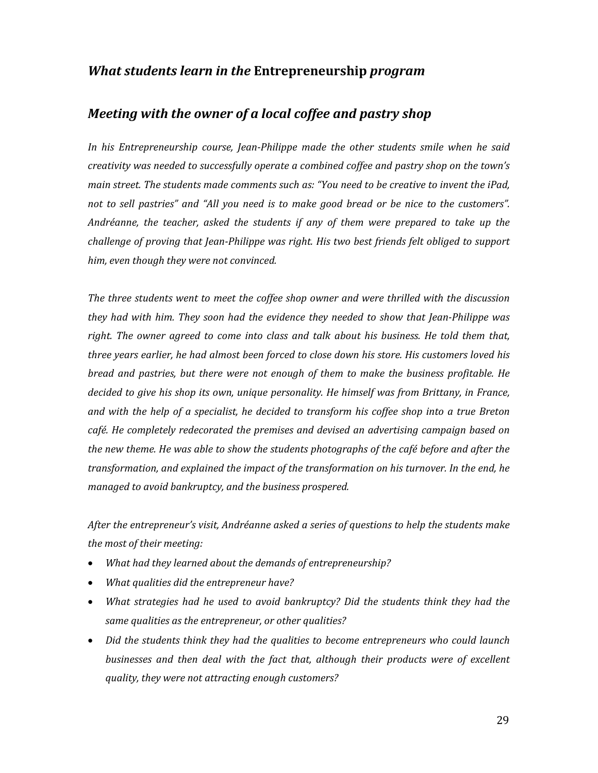## <span id="page-35-0"></span>*What students learn in the* **Entrepreneurship** *program*

## <span id="page-35-1"></span>*Meeting with the owner of a local coffee and pastry shop*

*In his Entrepreneurship course, Jean-Philippe made the other students smile when he said creativity was needed to successfully operate a combined coffee and pastry shop on the town's main street. The students made comments such as: "You need to be creative to invent the iPad, not to sell pastries" and "All you need is to make good bread or be nice to the customers". Andréanne, the teacher, asked the students if any of them were prepared to take up the challenge of proving that Jean-Philippe was right. His two best friends felt obliged to support him, even though they were not convinced.*

*The three students went to meet the coffee shop owner and were thrilled with the discussion they had with him. They soon had the evidence they needed to show that Jean-Philippe was right. The owner agreed to come into class and talk about his business. He told them that, three years earlier, he had almost been forced to close down his store. His customers loved his bread and pastries, but there were not enough of them to make the business profitable. He decided to give his shop its own, unique personality. He himself was from Brittany, in France, and with the help of a specialist, he decided to transform his coffee shop into a true Breton café. He completely redecorated the premises and devised an advertising campaign based on the new theme. He was able to show the students photographs of the café before and after the transformation, and explained the impact of the transformation on his turnover. In the end, he managed to avoid bankruptcy, and the business prospered.*

*After the entrepreneur's visit, Andréanne asked a series of questions to help the students make the most of their meeting:*

- *What had they learned about the demands of entrepreneurship?*
- *What qualities did the entrepreneur have?*
- *What strategies had he used to avoid bankruptcy? Did the students think they had the same qualities as the entrepreneur, or other qualities?*
- *Did the students think they had the qualities to become entrepreneurs who could launch businesses and then deal with the fact that, although their products were of excellent quality, they were not attracting enough customers?*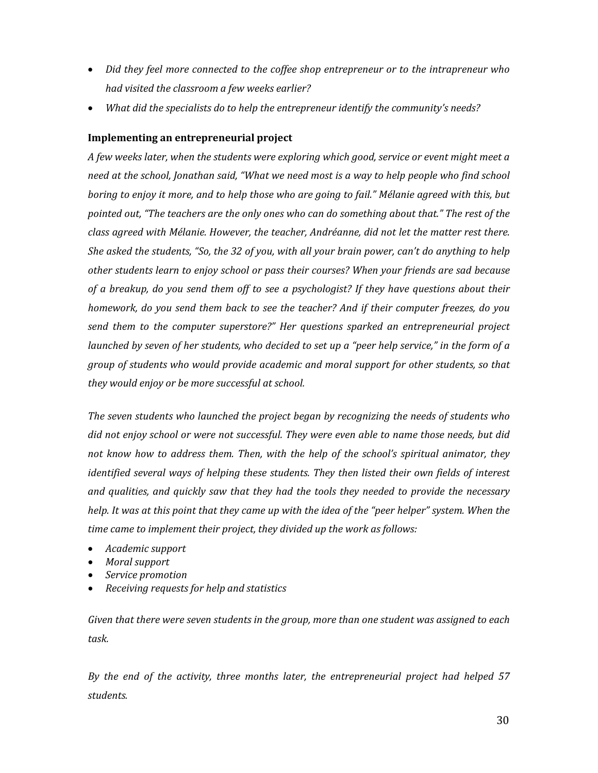- *Did they feel more connected to the coffee shop entrepreneur or to the intrapreneur who had visited the classroom a few weeks earlier?*
- *What did the specialists do to help the entrepreneur identify the community's needs?*

### **Implementing an entrepreneurial project**

*A few weeks later, when the students were exploring which good, service or event might meet a need at the school, Jonathan said, "What we need most is a way to help people who find school boring to enjoy it more, and to help those who are going to fail." Mélanie agreed with this, but pointed out, "The teachers are the only ones who can do something about that." The rest of the class agreed with Mélanie. However, the teacher, Andréanne, did not let the matter rest there. She asked the students, "So, the 32 of you, with all your brain power, can't do anything to help other students learn to enjoy school or pass their courses? When your friends are sad because of a breakup, do you send them off to see a psychologist? If they have questions about their homework, do you send them back to see the teacher? And if their computer freezes, do you send them to the computer superstore?" Her questions sparked an entrepreneurial project launched by seven of her students, who decided to set up a "peer help service," in the form of a group of students who would provide academic and moral support for other students, so that they would enjoy or be more successful at school.* 

*The seven students who launched the project began by recognizing the needs of students who did not enjoy school or were not successful. They were even able to name those needs, but did not know how to address them. Then, with the help of the school's spiritual animator, they identified several ways of helping these students. They then listed their own fields of interest and qualities, and quickly saw that they had the tools they needed to provide the necessary help. It was at this point that they came up with the idea of the "peer helper" system. When the time came to implement their project, they divided up the work as follows:*

- *Academic support*
- *Moral support*
- *Service promotion*
- *Receiving requests for help and statistics*

*Given that there were seven students in the group, more than one student was assigned to each task.*

*By the end of the activity, three months later, the entrepreneurial project had helped 57 students.*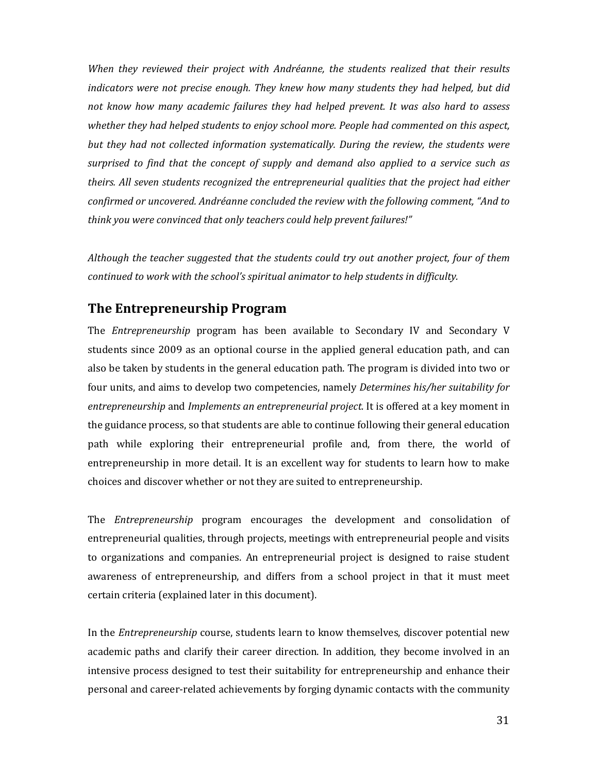*When they reviewed their project with Andréanne, the students realized that their results indicators were not precise enough. They knew how many students they had helped, but did not know how many academic failures they had helped prevent. It was also hard to assess whether they had helped students to enjoy school more. People had commented on this aspect, but they had not collected information systematically. During the review, the students were surprised to find that the concept of supply and demand also applied to a service such as theirs. All seven students recognized the entrepreneurial qualities that the project had either confirmed or uncovered. Andréanne concluded the review with the following comment, "And to think you were convinced that only teachers could help prevent failures!"*

*Although the teacher suggested that the students could try out another project, four of them continued to work with the school's spiritual animator to help students in difficulty.*

## <span id="page-37-0"></span>**The Entrepreneurship Program**

The *Entrepreneurship* program has been available to Secondary IV and Secondary V students since 2009 as an optional course in the applied general education path, and can also be taken by students in the general education path. The program is divided into two or four units, and aims to develop two competencies, namely *Determines his/her suitability for entrepreneurship* and *Implements an entrepreneurial project.* It is offered at a key moment in the guidance process, so that students are able to continue following their general education path while exploring their entrepreneurial profile and, from there, the world of entrepreneurship in more detail. It is an excellent way for students to learn how to make choices and discover whether or not they are suited to entrepreneurship.

The *Entrepreneurship* program encourages the development and consolidation of entrepreneurial qualities, through projects, meetings with entrepreneurial people and visits to organizations and companies. An entrepreneurial project is designed to raise student awareness of entrepreneurship, and differs from a school project in that it must meet certain criteria (explained later in this document).

In the *Entrepreneurship* course, students learn to know themselves, discover potential new academic paths and clarify their career direction. In addition, they become involved in an intensive process designed to test their suitability for entrepreneurship and enhance their personal and career-related achievements by forging dynamic contacts with the community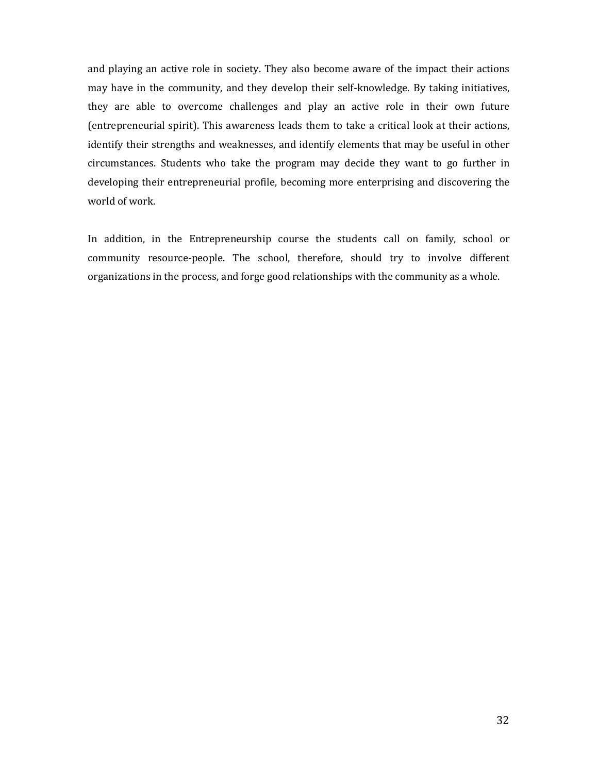and playing an active role in society. They also become aware of the impact their actions may have in the community, and they develop their self-knowledge. By taking initiatives, they are able to overcome challenges and play an active role in their own future (entrepreneurial spirit). This awareness leads them to take a critical look at their actions, identify their strengths and weaknesses, and identify elements that may be useful in other circumstances. Students who take the program may decide they want to go further in developing their entrepreneurial profile, becoming more enterprising and discovering the world of work.

<span id="page-38-0"></span>In addition, in the Entrepreneurship course the students call on family, school or community resource-people. The school, therefore, should try to involve different organizations in the process, and forge good relationships with the community as a whole.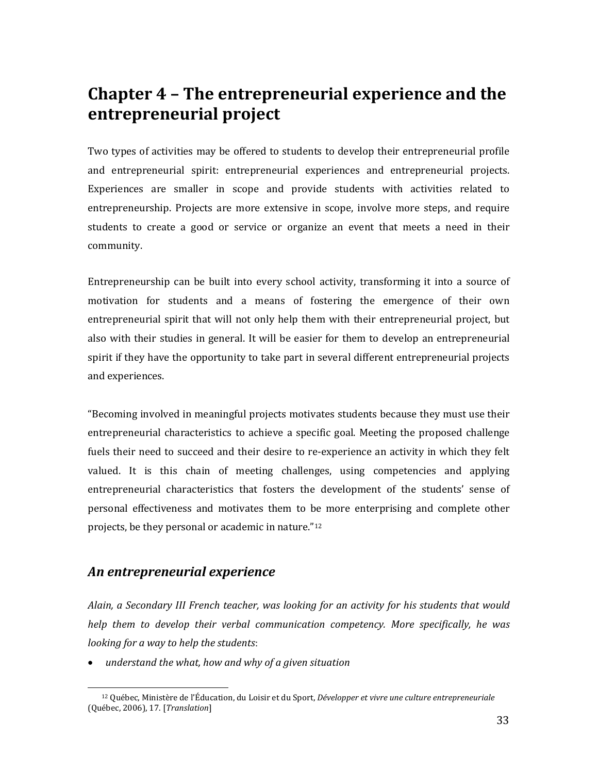## <span id="page-39-0"></span>**Chapter 4 – The entrepreneurial experience and the entrepreneurial project**

Two types of activities may be offered to students to develop their entrepreneurial profile and entrepreneurial spirit: entrepreneurial experiences and entrepreneurial projects. Experiences are smaller in scope and provide students with activities related to entrepreneurship. Projects are more extensive in scope, involve more steps, and require students to create a good or service or organize an event that meets a need in their community.

Entrepreneurship can be built into every school activity, transforming it into a source of motivation for students and a means of fostering the emergence of their own entrepreneurial spirit that will not only help them with their entrepreneurial project, but also with their studies in general. It will be easier for them to develop an entrepreneurial spirit if they have the opportunity to take part in several different entrepreneurial projects and experiences.

"Becoming involved in meaningful projects motivates students because they must use their entrepreneurial characteristics to achieve a specific goal. Meeting the proposed challenge fuels their need to succeed and their desire to re-experience an activity in which they felt valued. It is this chain of meeting challenges, using competencies and applying entrepreneurial characteristics that fosters the development of the students' sense of personal effectiveness and motivates them to be more enterprising and complete other projects, be they personal or academic in nature."[12](#page-38-0)

## <span id="page-39-1"></span>*An entrepreneurial experience*

 $\overline{a}$ 

*Alain, a Secondary III French teacher, was looking for an activity for his students that would help them to develop their verbal communication competency. More specifically, he was looking for a way to help the students*:

• *understand the what, how and why of a given situation*

<sup>12</sup> Québec, Ministère de l'Éducation, du Loisir et du Sport, *Développer et vivre une culture entrepreneuriale* (Québec, 2006), 17. [*Translation*]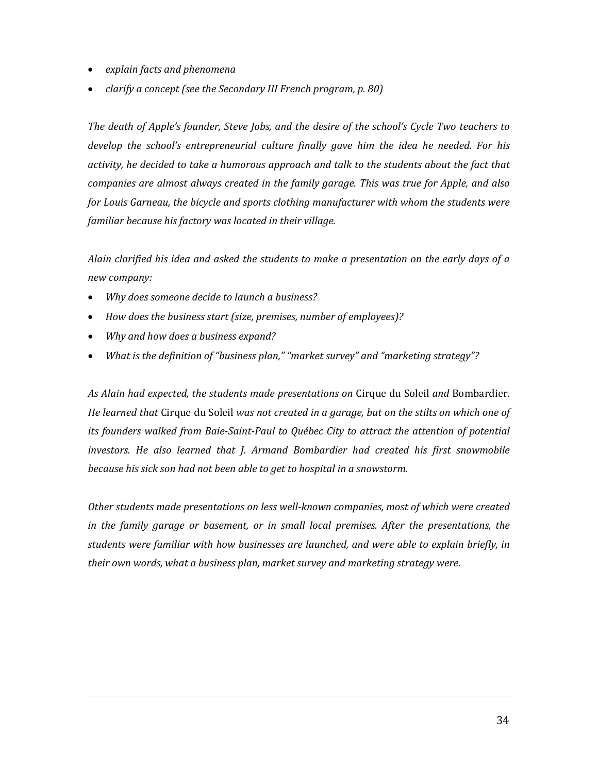- *explain facts and phenomena*
- *clarify a concept (see the Secondary III French program, p. 80)*

*The death of Apple's founder, Steve Jobs, and the desire of the school's Cycle Two teachers to develop the school's entrepreneurial culture finally gave him the idea he needed. For his activity, he decided to take a humorous approach and talk to the students about the fact that companies are almost always created in the family garage. This was true for Apple, and also for Louis Garneau, the bicycle and sports clothing manufacturer with whom the students were familiar because his factory was located in their village.*

*Alain clarified his idea and asked the students to make a presentation on the early days of a new company:*

- *Why does someone decide to launch a business?*
- *How does the business start (size, premises, number of employees)?*
- *Why and how does a business expand?*

 $\overline{a}$ 

• *What is the definition of "business plan," "market survey" and "marketing strategy"?*

*As Alain had expected, the students made presentations on* Cirque du Soleil *and* Bombardier*. He learned that* Cirque du Soleil *was not created in a garage, but on the stilts on which one of its founders walked from Baie-Saint-Paul to Québec City to attract the attention of potential investors. He also learned that J. Armand Bombardier had created his first snowmobile because his sick son had not been able to get to hospital in a snowstorm.*

*Other students made presentations on less well-known companies, most of which were created in the family garage or basement, or in small local premises. After the presentations, the students were familiar with how businesses are launched, and were able to explain briefly, in their own words, what a business plan, market survey and marketing strategy were.*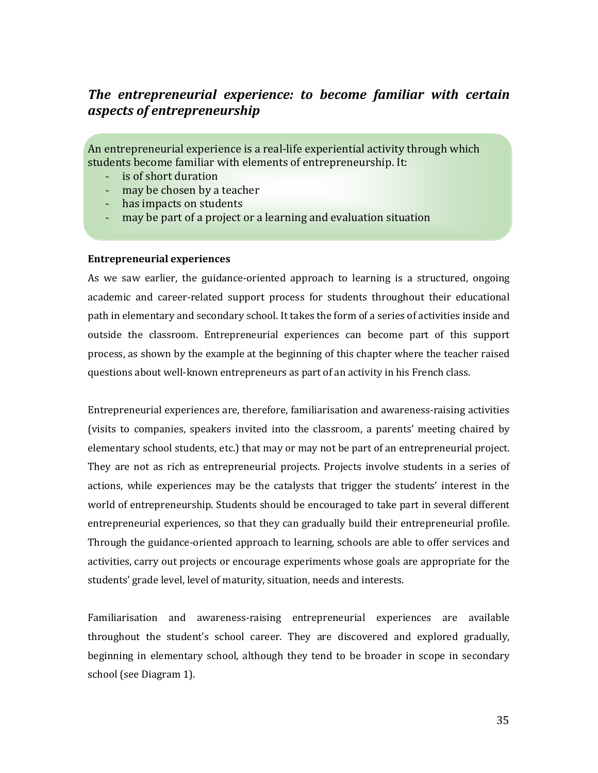## <span id="page-41-0"></span>*The entrepreneurial experience: to become familiar with certain aspects of entrepreneurship*

An entrepreneurial experience is a real-life experiential activity through which students become familiar with elements of entrepreneurship. It:

- is of short duration
- may be chosen by a teacher
- has impacts on students
- may be part of a project or a learning and evaluation situation

#### **Entrepreneurial experiences**

As we saw earlier, the guidance-oriented approach to learning is a structured, ongoing academic and career-related support process for students throughout their educational path in elementary and secondary school. It takes the form of a series of activities inside and outside the classroom. Entrepreneurial experiences can become part of this support process, as shown by the example at the beginning of this chapter where the teacher raised questions about well-known entrepreneurs as part of an activity in his French class.

Entrepreneurial experiences are, therefore, familiarisation and awareness-raising activities (visits to companies, speakers invited into the classroom, a parents' meeting chaired by elementary school students, etc.) that may or may not be part of an entrepreneurial project. They are not as rich as entrepreneurial projects. Projects involve students in a series of actions, while experiences may be the catalysts that trigger the students' interest in the world of entrepreneurship. Students should be encouraged to take part in several different entrepreneurial experiences, so that they can gradually build their entrepreneurial profile. Through the guidance-oriented approach to learning, schools are able to offer services and activities, carry out projects or encourage experiments whose goals are appropriate for the students' grade level, level of maturity, situation, needs and interests.

Familiarisation and awareness-raising entrepreneurial experiences are available throughout the student's school career. They are discovered and explored gradually, beginning in elementary school, although they tend to be broader in scope in secondary school (see Diagram 1).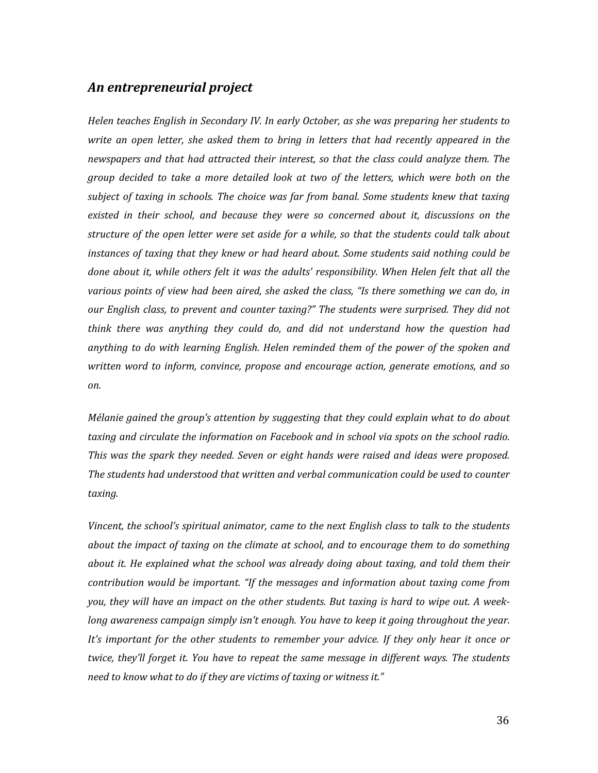### <span id="page-42-0"></span>*An entrepreneurial project*

*Helen teaches English in Secondary IV. In early October, as she was preparing her students to write an open letter, she asked them to bring in letters that had recently appeared in the newspapers and that had attracted their interest, so that the class could analyze them. The group decided to take a more detailed look at two of the letters, which were both on the subject of taxing in schools. The choice was far from banal. Some students knew that taxing existed in their school, and because they were so concerned about it, discussions on the structure of the open letter were set aside for a while, so that the students could talk about instances of taxing that they knew or had heard about. Some students said nothing could be done about it, while others felt it was the adults' responsibility. When Helen felt that all the various points of view had been aired, she asked the class, "Is there something we can do, in our English class, to prevent and counter taxing?" The students were surprised. They did not think there was anything they could do, and did not understand how the question had anything to do with learning English. Helen reminded them of the power of the spoken and written word to inform, convince, propose and encourage action, generate emotions, and so on.*

*Mélanie gained the group's attention by suggesting that they could explain what to do about taxing and circulate the information on Facebook and in school via spots on the school radio. This was the spark they needed. Seven or eight hands were raised and ideas were proposed. The students had understood that written and verbal communication could be used to counter taxing.*

*Vincent, the school's spiritual animator, came to the next English class to talk to the students about the impact of taxing on the climate at school, and to encourage them to do something about it. He explained what the school was already doing about taxing, and told them their contribution would be important. "If the messages and information about taxing come from you, they will have an impact on the other students. But taxing is hard to wipe out. A weeklong awareness campaign simply isn't enough. You have to keep it going throughout the year. It's important for the other students to remember your advice. If they only hear it once or twice, they'll forget it. You have to repeat the same message in different ways. The students need to know what to do if they are victims of taxing or witness it."*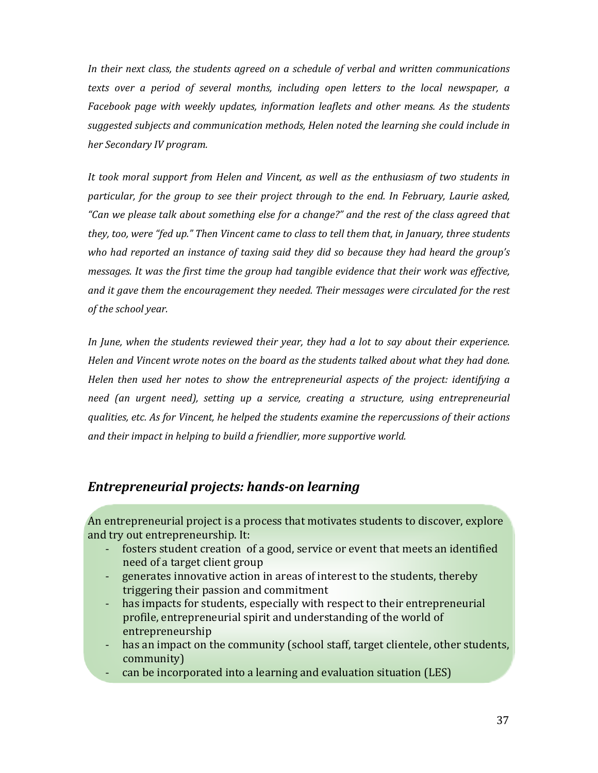*In their next class, the students agreed on a schedule of verbal and written communications texts over a period of several months, including open letters to the local newspaper, a Facebook page with weekly updates, information leaflets and other means. As the students suggested subjects and communication methods, Helen noted the learning she could include in her Secondary IV program.*

*It took moral support from Helen and Vincent, as well as the enthusiasm of two students in particular, for the group to see their project through to the end. In February, Laurie asked, "Can we please talk about something else for a change?" and the rest of the class agreed that they, too, were "fed up." Then Vincent came to class to tell them that, in January, three students who had reported an instance of taxing said they did so because they had heard the group's messages. It was the first time the group had tangible evidence that their work was effective, and it gave them the encouragement they needed. Their messages were circulated for the rest of the school year.*

*In June, when the students reviewed their year, they had a lot to say about their experience. Helen and Vincent wrote notes on the board as the students talked about what they had done. Helen then used her notes to show the entrepreneurial aspects of the project: identifying a need (an urgent need), setting up a service, creating a structure, using entrepreneurial qualities, etc. As for Vincent, he helped the students examine the repercussions of their actions and their impact in helping to build a friendlier, more supportive world.*

## <span id="page-43-0"></span>*Entrepreneurial projects: hands-on learning*

An entrepreneurial project is a process that motivates students to discover, explore and try out entrepreneurship. It:

- fosters student creation of a good, service or event that meets an identified need of a target client group
- generates innovative action in areas of interest to the students, thereby triggering their passion and commitment
- has impacts for students, especially with respect to their entrepreneurial profile, entrepreneurial spirit and understanding of the world of entrepreneurship
- has an impact on the community (school staff, target clientele, other students, community)
- <span id="page-43-1"></span>can be incorporated into a learning and evaluation situation (LES)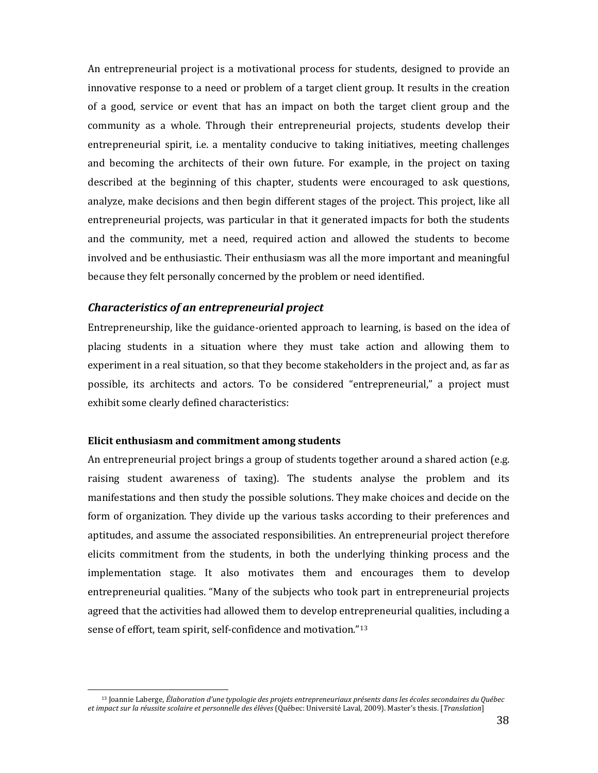An entrepreneurial project is a motivational process for students, designed to provide an innovative response to a need or problem of a target client group. It results in the creation of a good, service or event that has an impact on both the target client group and the community as a whole. Through their entrepreneurial projects, students develop their entrepreneurial spirit, i.e. a mentality conducive to taking initiatives, meeting challenges and becoming the architects of their own future. For example, in the project on taxing described at the beginning of this chapter, students were encouraged to ask questions, analyze, make decisions and then begin different stages of the project. This project, like all entrepreneurial projects, was particular in that it generated impacts for both the students and the community, met a need, required action and allowed the students to become involved and be enthusiastic. Their enthusiasm was all the more important and meaningful because they felt personally concerned by the problem or need identified.

#### <span id="page-44-0"></span>*Characteristics of an entrepreneurial project*

Entrepreneurship, like the guidance-oriented approach to learning, is based on the idea of placing students in a situation where they must take action and allowing them to experiment in a real situation, so that they become stakeholders in the project and, as far as possible, its architects and actors. To be considered "entrepreneurial," a project must exhibit some clearly defined characteristics:

#### **Elicit enthusiasm and commitment among students**

 $\overline{a}$ 

An entrepreneurial project brings a group of students together around a shared action (e.g. raising student awareness of taxing). The students analyse the problem and its manifestations and then study the possible solutions. They make choices and decide on the form of organization. They divide up the various tasks according to their preferences and aptitudes, and assume the associated responsibilities. An entrepreneurial project therefore elicits commitment from the students, in both the underlying thinking process and the implementation stage. It also motivates them and encourages them to develop entrepreneurial qualities. "Many of the subjects who took part in entrepreneurial projects agreed that the activities had allowed them to develop entrepreneurial qualities, including a sense of effort, team spirit, self-confidence and motivation."[13](#page-43-1)

<sup>13</sup> Joannie Laberge, *Élaboration d'une typologie des projets entrepreneuriaux présents dans les écoles secondaires du Québec et impact sur la réussite scolaire et personnelle des élèves* (Québec: Université Laval, 2009). Master's thesis. [*Translation*]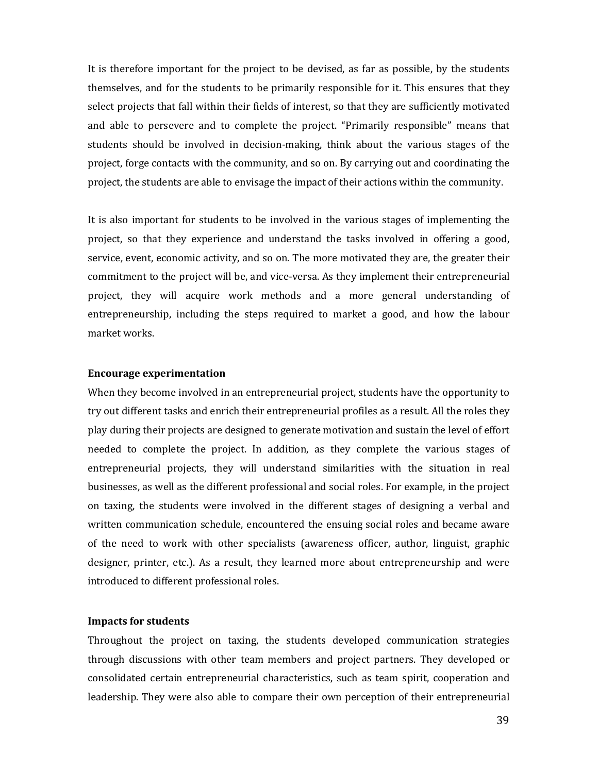It is therefore important for the project to be devised, as far as possible, by the students themselves, and for the students to be primarily responsible for it. This ensures that they select projects that fall within their fields of interest, so that they are sufficiently motivated and able to persevere and to complete the project. "Primarily responsible" means that students should be involved in decision-making, think about the various stages of the project, forge contacts with the community, and so on. By carrying out and coordinating the project, the students are able to envisage the impact of their actions within the community.

It is also important for students to be involved in the various stages of implementing the project, so that they experience and understand the tasks involved in offering a good, service, event, economic activity, and so on. The more motivated they are, the greater their commitment to the project will be, and vice-versa. As they implement their entrepreneurial project, they will acquire work methods and a more general understanding of entrepreneurship, including the steps required to market a good, and how the labour market works.

#### **Encourage experimentation**

When they become involved in an entrepreneurial project, students have the opportunity to try out different tasks and enrich their entrepreneurial profiles as a result. All the roles they play during their projects are designed to generate motivation and sustain the level of effort needed to complete the project. In addition, as they complete the various stages of entrepreneurial projects, they will understand similarities with the situation in real businesses, as well as the different professional and social roles. For example, in the project on taxing, the students were involved in the different stages of designing a verbal and written communication schedule, encountered the ensuing social roles and became aware of the need to work with other specialists (awareness officer, author, linguist, graphic designer, printer, etc.). As a result, they learned more about entrepreneurship and were introduced to different professional roles.

#### **Impacts for students**

Throughout the project on taxing, the students developed communication strategies through discussions with other team members and project partners. They developed or consolidated certain entrepreneurial characteristics, such as team spirit, cooperation and leadership. They were also able to compare their own perception of their entrepreneurial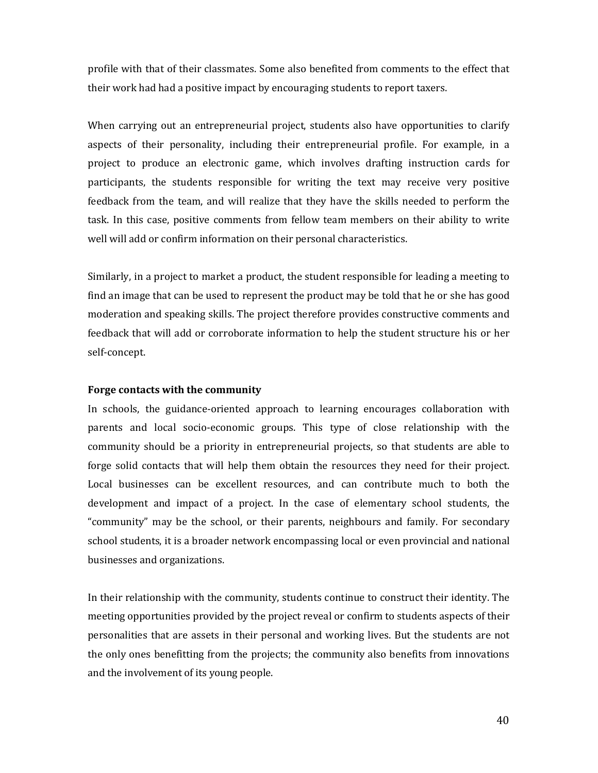profile with that of their classmates. Some also benefited from comments to the effect that their work had had a positive impact by encouraging students to report taxers.

When carrying out an entrepreneurial project, students also have opportunities to clarify aspects of their personality, including their entrepreneurial profile. For example, in a project to produce an electronic game, which involves drafting instruction cards for participants, the students responsible for writing the text may receive very positive feedback from the team, and will realize that they have the skills needed to perform the task. In this case, positive comments from fellow team members on their ability to write well will add or confirm information on their personal characteristics.

Similarly, in a project to market a product, the student responsible for leading a meeting to find an image that can be used to represent the product may be told that he or she has good moderation and speaking skills. The project therefore provides constructive comments and feedback that will add or corroborate information to help the student structure his or her self-concept.

#### **Forge contacts with the community**

In schools, the guidance-oriented approach to learning encourages collaboration with parents and local socio-economic groups. This type of close relationship with the community should be a priority in entrepreneurial projects, so that students are able to forge solid contacts that will help them obtain the resources they need for their project. Local businesses can be excellent resources, and can contribute much to both the development and impact of a project. In the case of elementary school students, the "community" may be the school, or their parents, neighbours and family. For secondary school students, it is a broader network encompassing local or even provincial and national businesses and organizations.

In their relationship with the community, students continue to construct their identity. The meeting opportunities provided by the project reveal or confirm to students aspects of their personalities that are assets in their personal and working lives. But the students are not the only ones benefitting from the projects; the community also benefits from innovations and the involvement of its young people.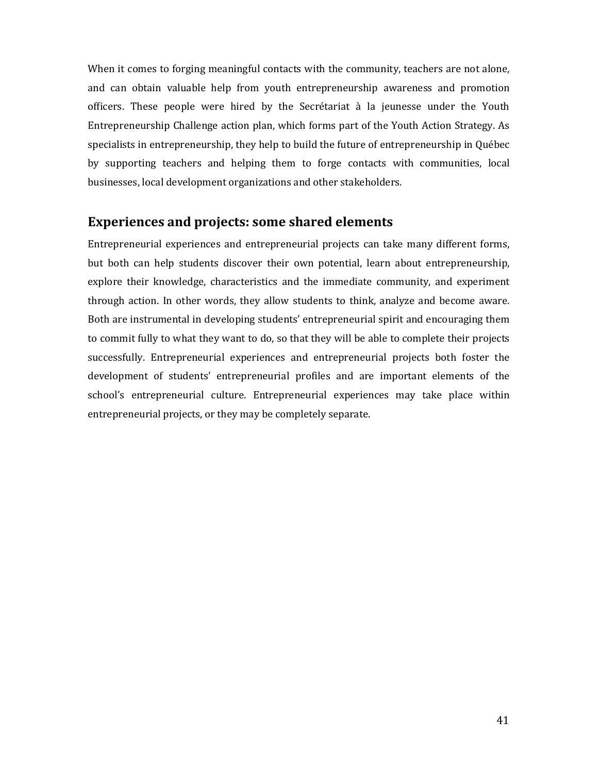When it comes to forging meaningful contacts with the community, teachers are not alone, and can obtain valuable help from youth entrepreneurship awareness and promotion officers. These people were hired by the Secrétariat à la jeunesse under the Youth Entrepreneurship Challenge action plan, which forms part of the Youth Action Strategy. As specialists in entrepreneurship, they help to build the future of entrepreneurship in Québec by supporting teachers and helping them to forge contacts with communities, local businesses, local development organizations and other stakeholders.

## <span id="page-47-0"></span>**Experiences and projects: some shared elements**

Entrepreneurial experiences and entrepreneurial projects can take many different forms, but both can help students discover their own potential, learn about entrepreneurship, explore their knowledge, characteristics and the immediate community, and experiment through action. In other words, they allow students to think, analyze and become aware. Both are instrumental in developing students' entrepreneurial spirit and encouraging them to commit fully to what they want to do, so that they will be able to complete their projects successfully. Entrepreneurial experiences and entrepreneurial projects both foster the development of students' entrepreneurial profiles and are important elements of the school's entrepreneurial culture. Entrepreneurial experiences may take place within entrepreneurial projects, or they may be completely separate.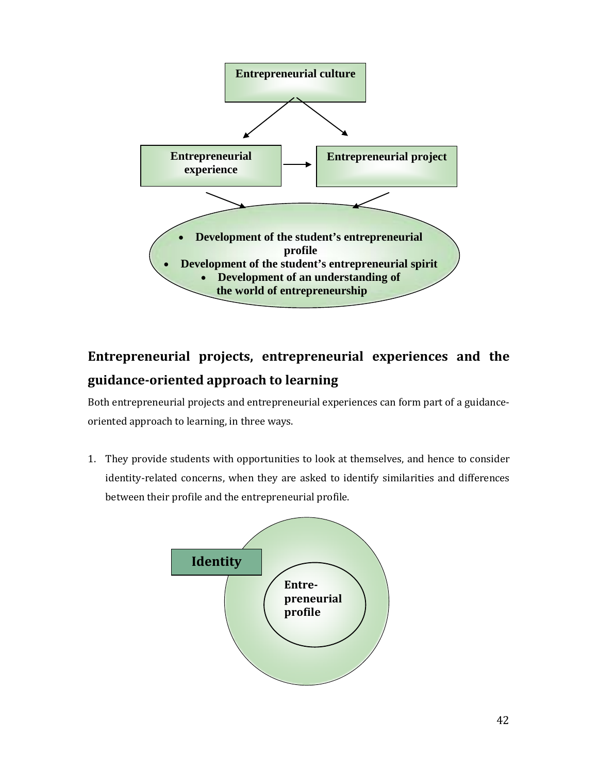

## **Entrepreneurial projects, entrepreneurial experiences and the guidance-oriented approach to learning**

Both entrepreneurial projects and entrepreneurial experiences can form part of a guidanceoriented approach to learning, in three ways.

1. They provide students with opportunities to look at themselves, and hence to consider identity-related concerns, when they are asked to identify similarities and differences between their profile and the entrepreneurial profile.

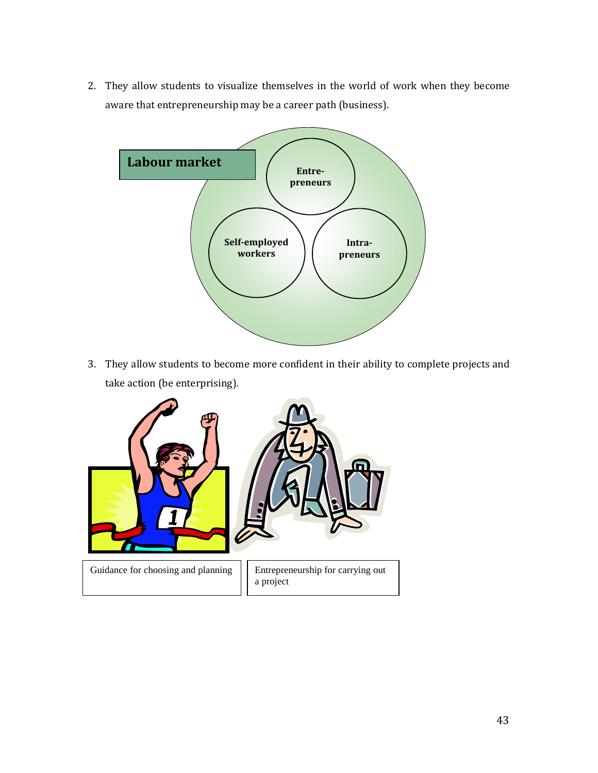2. They allow students to visualize themselves in the world of work when they become aware that entrepreneurship may be a career path (business).



3. They allow students to become more confident in their ability to complete projects and take action (be enterprising).

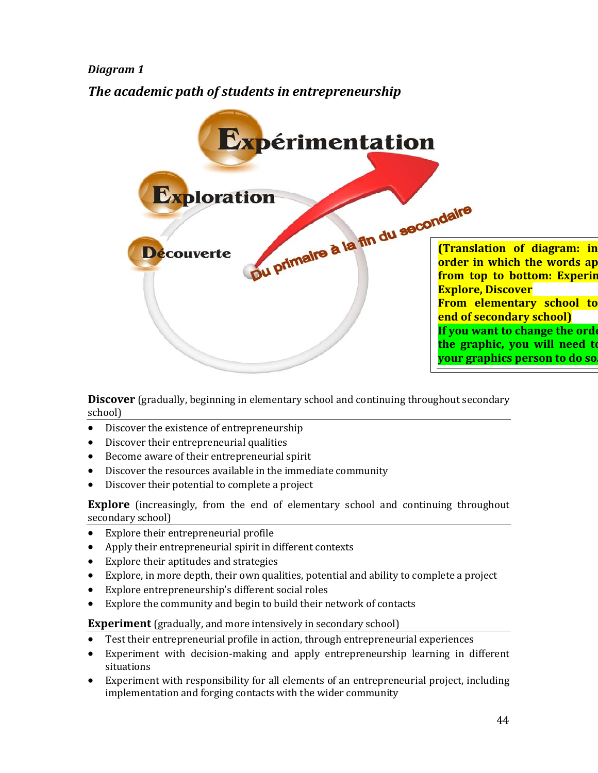## <span id="page-50-0"></span>*Diagram 1*

<span id="page-50-1"></span>*The academic path of students in entrepreneurship*



**Discover** (gradually, beginning in elementary school and continuing throughout secondary school)

- Discover the existence of entrepreneurship
- Discover their entrepreneurial qualities
- Become aware of their entrepreneurial spirit
- Discover the resources available in the immediate community
- Discover their potential to complete a project

**Explore** (increasingly, from the end of elementary school and continuing throughout secondary school)

- Explore their entrepreneurial profile
- Apply their entrepreneurial spirit in different contexts
- Explore their aptitudes and strategies
- Explore, in more depth, their own qualities, potential and ability to complete a project
- Explore entrepreneurship's different social roles
- Explore the community and begin to build their network of contacts

**Experiment** (gradually, and more intensively in secondary school)

- Test their entrepreneurial profile in action, through entrepreneurial experiences
- Experiment with decision-making and apply entrepreneurship learning in different situations
- <span id="page-50-2"></span>• Experiment with responsibility for all elements of an entrepreneurial project, including implementation and forging contacts with the wider community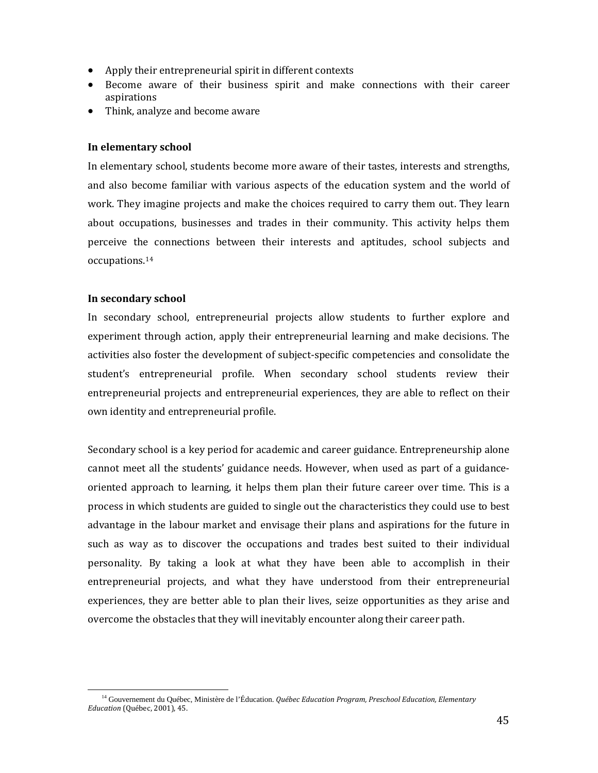- Apply their entrepreneurial spirit in different contexts
- Become aware of their business spirit and make connections with their career aspirations
- Think, analyze and become aware

#### **In elementary school**

In elementary school, students become more aware of their tastes, interests and strengths, and also become familiar with various aspects of the education system and the world of work. They imagine projects and make the choices required to carry them out. They learn about occupations, businesses and trades in their community. This activity helps them perceive the connections between their interests and aptitudes, school subjects and occupations.[14](#page-50-2)

#### **In secondary school**

In secondary school, entrepreneurial projects allow students to further explore and experiment through action, apply their entrepreneurial learning and make decisions. The activities also foster the development of subject-specific competencies and consolidate the student's entrepreneurial profile. When secondary school students review their entrepreneurial projects and entrepreneurial experiences, they are able to reflect on their own identity and entrepreneurial profile.

Secondary school is a key period for academic and career guidance. Entrepreneurship alone cannot meet all the students' guidance needs. However, when used as part of a guidanceoriented approach to learning, it helps them plan their future career over time. This is a process in which students are guided to single out the characteristics they could use to best advantage in the labour market and envisage their plans and aspirations for the future in such as way as to discover the occupations and trades best suited to their individual personality. By taking a look at what they have been able to accomplish in their entrepreneurial projects, and what they have understood from their entrepreneurial experiences, they are better able to plan their lives, seize opportunities as they arise and overcome the obstacles that they will inevitably encounter along their career path.

 <sup>14</sup> Gouvernement du Québec, Ministère de l'Éducation. *Québec Education Program, Preschool Education, Elementary Education* (Québec, 2001), 45.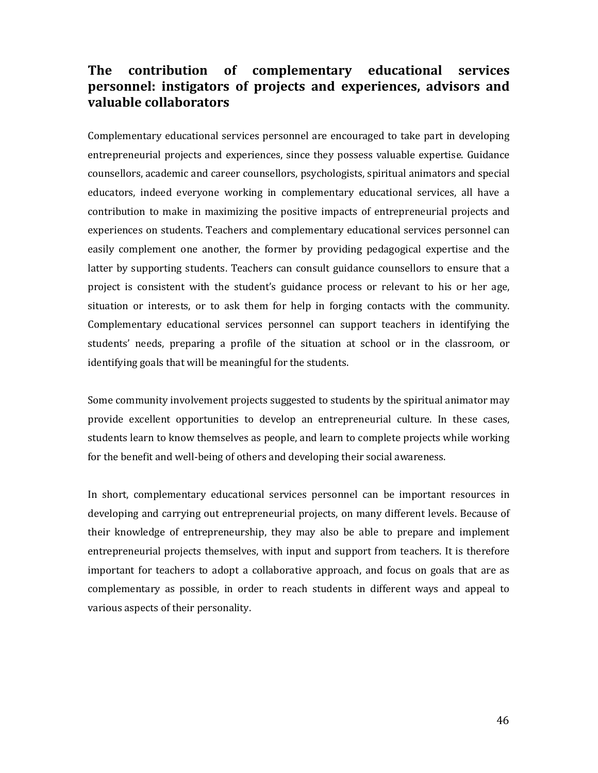## <span id="page-52-0"></span>**The contribution of complementary educational services personnel: instigators of projects and experiences, advisors and valuable collaborators**

Complementary educational services personnel are encouraged to take part in developing entrepreneurial projects and experiences, since they possess valuable expertise. Guidance counsellors, academic and career counsellors, psychologists, spiritual animators and special educators, indeed everyone working in complementary educational services, all have a contribution to make in maximizing the positive impacts of entrepreneurial projects and experiences on students. Teachers and complementary educational services personnel can easily complement one another, the former by providing pedagogical expertise and the latter by supporting students. Teachers can consult guidance counsellors to ensure that a project is consistent with the student's guidance process or relevant to his or her age, situation or interests, or to ask them for help in forging contacts with the community. Complementary educational services personnel can support teachers in identifying the students' needs, preparing a profile of the situation at school or in the classroom, or identifying goals that will be meaningful for the students.

Some community involvement projects suggested to students by the spiritual animator may provide excellent opportunities to develop an entrepreneurial culture. In these cases, students learn to know themselves as people, and learn to complete projects while working for the benefit and well-being of others and developing their social awareness.

<span id="page-52-1"></span>In short, complementary educational services personnel can be important resources in developing and carrying out entrepreneurial projects, on many different levels. Because of their knowledge of entrepreneurship, they may also be able to prepare and implement entrepreneurial projects themselves, with input and support from teachers. It is therefore important for teachers to adopt a collaborative approach, and focus on goals that are as complementary as possible, in order to reach students in different ways and appeal to various aspects of their personality.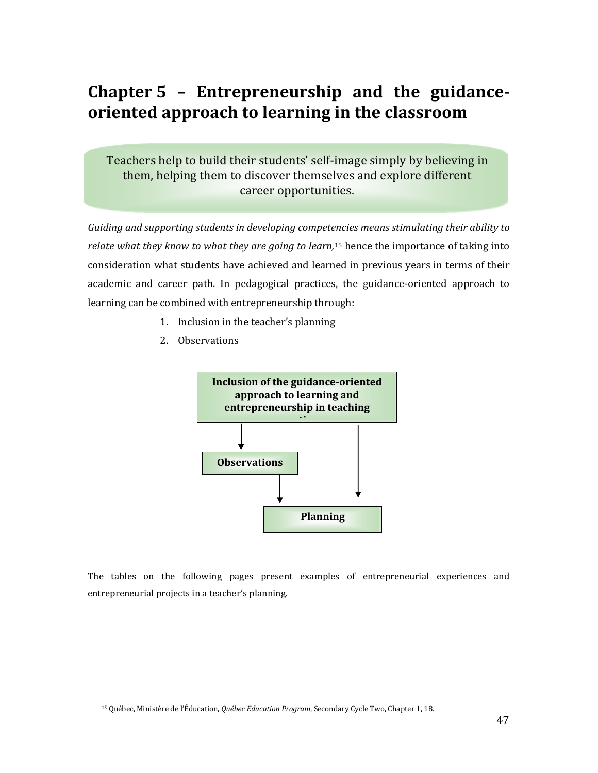## **Chapter 5 – Entrepreneurship and the guidanceoriented approach to learning in the classroom**

Teachers help to build their students' self-image simply by believing in them, helping them to discover themselves and explore different career opportunities.

*Guiding and supporting students in developing compet[enc](#page-52-1)ies means stimulating their ability to relate what they know to what they are going to learn,*<sup>15</sup> hence the importance of taking into consideration what students have achieved and learned in previous years in terms of their academic and career path. In pedagogical practices, the guidance-oriented approach to learning can be combined with entrepreneurship through:

- 1. Inclusion in the teacher's planning
- 2. Observations



The tables on the following pages present examples of entrepreneurial experiences and entrepreneurial projects in a teacher's planning.

 $\overline{a}$ 

<sup>15</sup> Québec, Ministère de l'Éducation, *Québec Education Program*, Secondary Cycle Two, Chapter 1, 18.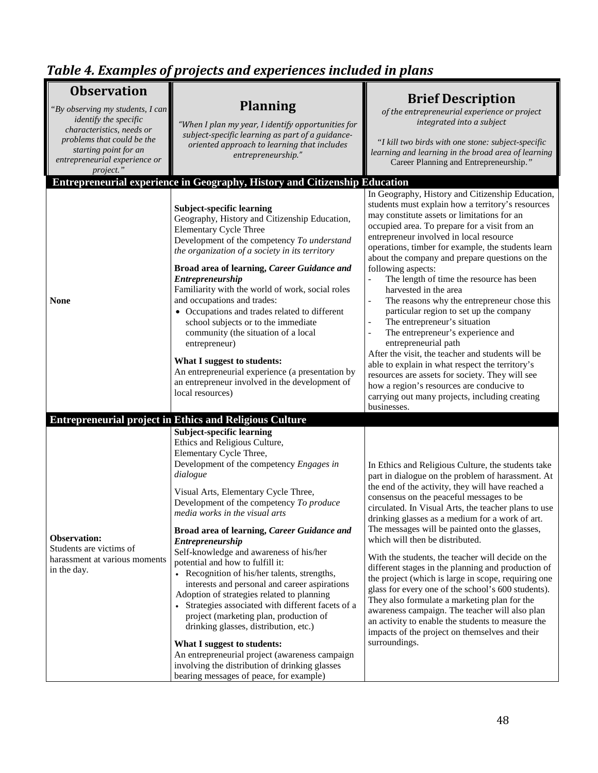## <span id="page-54-0"></span>*Table 4. Examples of projects and experiences included in plans*

| <b>Observation</b>                                                                                                                                                             |                                                                                                                                                                                                                                                                                                                                                                                                                                                                                                                                                                                                                                                                                                                                                            |                                                                                                                                                                                                                                                                                                                                                                                                                                                                                                                                                                                                                                                                                                                                                                                                                                                            |  |
|--------------------------------------------------------------------------------------------------------------------------------------------------------------------------------|------------------------------------------------------------------------------------------------------------------------------------------------------------------------------------------------------------------------------------------------------------------------------------------------------------------------------------------------------------------------------------------------------------------------------------------------------------------------------------------------------------------------------------------------------------------------------------------------------------------------------------------------------------------------------------------------------------------------------------------------------------|------------------------------------------------------------------------------------------------------------------------------------------------------------------------------------------------------------------------------------------------------------------------------------------------------------------------------------------------------------------------------------------------------------------------------------------------------------------------------------------------------------------------------------------------------------------------------------------------------------------------------------------------------------------------------------------------------------------------------------------------------------------------------------------------------------------------------------------------------------|--|
| "By observing my students, I can<br>identify the specific<br>characteristics, needs or<br>problems that could be the<br>starting point for an<br>entrepreneurial experience or | <b>Planning</b><br>"When I plan my year, I identify opportunities for<br>subject-specific learning as part of a guidance-<br>oriented approach to learning that includes<br>entrepreneurship."                                                                                                                                                                                                                                                                                                                                                                                                                                                                                                                                                             | <b>Brief Description</b><br>of the entrepreneurial experience or project<br>integrated into a subject<br>"I kill two birds with one stone: subject-specific<br>learning and learning in the broad area of learning                                                                                                                                                                                                                                                                                                                                                                                                                                                                                                                                                                                                                                         |  |
| project."                                                                                                                                                                      |                                                                                                                                                                                                                                                                                                                                                                                                                                                                                                                                                                                                                                                                                                                                                            | Career Planning and Entrepreneurship."                                                                                                                                                                                                                                                                                                                                                                                                                                                                                                                                                                                                                                                                                                                                                                                                                     |  |
|                                                                                                                                                                                | Entrepreneurial experience in Geography, History and Citizenship Education                                                                                                                                                                                                                                                                                                                                                                                                                                                                                                                                                                                                                                                                                 |                                                                                                                                                                                                                                                                                                                                                                                                                                                                                                                                                                                                                                                                                                                                                                                                                                                            |  |
| <b>None</b>                                                                                                                                                                    | <b>Subject-specific learning</b><br>Geography, History and Citizenship Education,<br><b>Elementary Cycle Three</b><br>Development of the competency To understand<br>the organization of a society in its territory<br>Broad area of learning, Career Guidance and<br><b>Entrepreneurship</b><br>Familiarity with the world of work, social roles<br>and occupations and trades:<br>• Occupations and trades related to different<br>school subjects or to the immediate<br>community (the situation of a local<br>entrepreneur)<br>What I suggest to students:<br>An entrepreneurial experience (a presentation by                                                                                                                                        | In Geography, History and Citizenship Education,<br>students must explain how a territory's resources<br>may constitute assets or limitations for an<br>occupied area. To prepare for a visit from an<br>entrepreneur involved in local resource<br>operations, timber for example, the students learn<br>about the company and prepare questions on the<br>following aspects:<br>The length of time the resource has been<br>harvested in the area<br>The reasons why the entrepreneur chose this<br>$\overline{\phantom{a}}$<br>particular region to set up the company<br>The entrepreneur's situation<br>The entrepreneur's experience and<br>entrepreneurial path<br>After the visit, the teacher and students will be<br>able to explain in what respect the territory's<br>resources are assets for society. They will see                          |  |
|                                                                                                                                                                                | an entrepreneur involved in the development of<br>local resources)<br><b>Entrepreneurial project in Ethics and Religious Culture</b>                                                                                                                                                                                                                                                                                                                                                                                                                                                                                                                                                                                                                       | how a region's resources are conducive to<br>carrying out many projects, including creating<br>businesses.                                                                                                                                                                                                                                                                                                                                                                                                                                                                                                                                                                                                                                                                                                                                                 |  |
| Observation:<br>Students are victims of<br>harassment at various moments<br>in the day.                                                                                        | <b>Subject-specific learning</b><br>Ethics and Religious Culture,<br>Elementary Cycle Three,<br>Development of the competency Engages in<br>dialogue<br>Visual Arts, Elementary Cycle Three,<br>Development of the competency To produce<br>media works in the visual arts<br>Broad area of learning, Career Guidance and<br><b>Entrepreneurship</b><br>Self-knowledge and awareness of his/her<br>potential and how to fulfill it:<br>• Recognition of his/her talents, strengths,<br>interests and personal and career aspirations<br>Adoption of strategies related to planning<br>• Strategies associated with different facets of a<br>project (marketing plan, production of<br>drinking glasses, distribution, etc.)<br>What I suggest to students: | In Ethics and Religious Culture, the students take<br>part in dialogue on the problem of harassment. At<br>the end of the activity, they will have reached a<br>consensus on the peaceful messages to be<br>circulated. In Visual Arts, the teacher plans to use<br>drinking glasses as a medium for a work of art.<br>The messages will be painted onto the glasses,<br>which will then be distributed.<br>With the students, the teacher will decide on the<br>different stages in the planning and production of<br>the project (which is large in scope, requiring one<br>glass for every one of the school's 600 students).<br>They also formulate a marketing plan for the<br>awareness campaign. The teacher will also plan<br>an activity to enable the students to measure the<br>impacts of the project on themselves and their<br>surroundings. |  |
|                                                                                                                                                                                | An entrepreneurial project (awareness campaign<br>involving the distribution of drinking glasses<br>bearing messages of peace, for example)                                                                                                                                                                                                                                                                                                                                                                                                                                                                                                                                                                                                                |                                                                                                                                                                                                                                                                                                                                                                                                                                                                                                                                                                                                                                                                                                                                                                                                                                                            |  |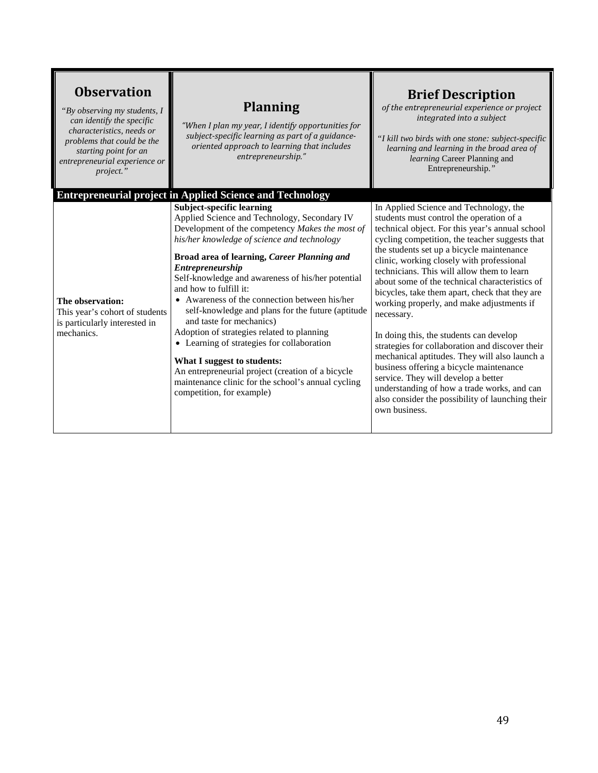| <b>Observation</b><br>"By observing my students, I<br>can identify the specific<br>characteristics, needs or<br>problems that could be the<br>starting point for an<br>entrepreneurial experience or<br>project." | <b>Planning</b><br>"When I plan my year, I identify opportunities for<br>subject-specific learning as part of a guidance-<br>oriented approach to learning that includes<br>entrepreneurship."                                                                                                                                                                                                                                                                                                                                                                                                                                                                                                                                     | <b>Brief Description</b><br>of the entrepreneurial experience or project<br>integrated into a subject<br>"I kill two birds with one stone: subject-specific<br>learning and learning in the broad area of<br>learning Career Planning and<br>Entrepreneurship."                                                                                                                                                                                                                                                                                                                                                                                                                                                                                                                                                                                     |
|-------------------------------------------------------------------------------------------------------------------------------------------------------------------------------------------------------------------|------------------------------------------------------------------------------------------------------------------------------------------------------------------------------------------------------------------------------------------------------------------------------------------------------------------------------------------------------------------------------------------------------------------------------------------------------------------------------------------------------------------------------------------------------------------------------------------------------------------------------------------------------------------------------------------------------------------------------------|-----------------------------------------------------------------------------------------------------------------------------------------------------------------------------------------------------------------------------------------------------------------------------------------------------------------------------------------------------------------------------------------------------------------------------------------------------------------------------------------------------------------------------------------------------------------------------------------------------------------------------------------------------------------------------------------------------------------------------------------------------------------------------------------------------------------------------------------------------|
|                                                                                                                                                                                                                   | <b>Entrepreneurial project in Applied Science and Technology</b>                                                                                                                                                                                                                                                                                                                                                                                                                                                                                                                                                                                                                                                                   |                                                                                                                                                                                                                                                                                                                                                                                                                                                                                                                                                                                                                                                                                                                                                                                                                                                     |
| The observation:<br>This year's cohort of students<br>is particularly interested in<br>mechanics.                                                                                                                 | Subject-specific learning<br>Applied Science and Technology, Secondary IV<br>Development of the competency Makes the most of<br>his/her knowledge of science and technology<br>Broad area of learning, Career Planning and<br>Entrepreneurship<br>Self-knowledge and awareness of his/her potential<br>and how to fulfill it:<br>• Awareness of the connection between his/her<br>self-knowledge and plans for the future (aptitude<br>and taste for mechanics)<br>Adoption of strategies related to planning<br>• Learning of strategies for collaboration<br>What I suggest to students:<br>An entrepreneurial project (creation of a bicycle<br>maintenance clinic for the school's annual cycling<br>competition, for example) | In Applied Science and Technology, the<br>students must control the operation of a<br>technical object. For this year's annual school<br>cycling competition, the teacher suggests that<br>the students set up a bicycle maintenance<br>clinic, working closely with professional<br>technicians. This will allow them to learn<br>about some of the technical characteristics of<br>bicycles, take them apart, check that they are<br>working properly, and make adjustments if<br>necessary.<br>In doing this, the students can develop<br>strategies for collaboration and discover their<br>mechanical aptitudes. They will also launch a<br>business offering a bicycle maintenance<br>service. They will develop a better<br>understanding of how a trade works, and can<br>also consider the possibility of launching their<br>own business. |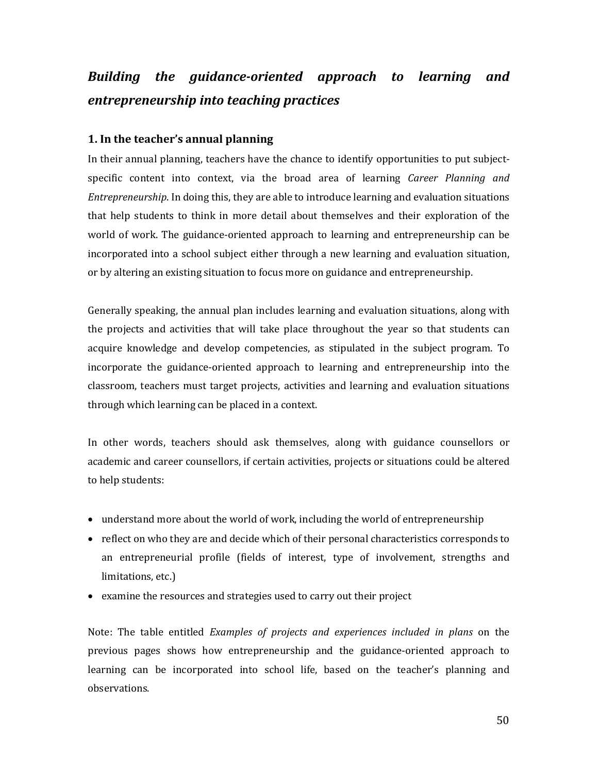## <span id="page-56-0"></span>*Building the guidance-oriented approach to learning and entrepreneurship into teaching practices*

### <span id="page-56-1"></span>**1. In the teacher's annual planning**

In their annual planning, teachers have the chance to identify opportunities to put subjectspecific content into context, via the broad area of learning *Career Planning and Entrepreneurship*. In doing this, they are able to introduce learning and evaluation situations that help students to think in more detail about themselves and their exploration of the world of work. The guidance-oriented approach to learning and entrepreneurship can be incorporated into a school subject either through a new learning and evaluation situation, or by altering an existing situation to focus more on guidance and entrepreneurship.

Generally speaking, the annual plan includes learning and evaluation situations, along with the projects and activities that will take place throughout the year so that students can acquire knowledge and develop competencies, as stipulated in the subject program. To incorporate the guidance-oriented approach to learning and entrepreneurship into the classroom, teachers must target projects, activities and learning and evaluation situations through which learning can be placed in a context.

In other words, teachers should ask themselves, along with guidance counsellors or academic and career counsellors, if certain activities, projects or situations could be altered to help students:

- understand more about the world of work, including the world of entrepreneurship
- reflect on who they are and decide which of their personal characteristics corresponds to an entrepreneurial profile (fields of interest, type of involvement, strengths and limitations, etc.)
- examine the resources and strategies used to carry out their project

Note: The table entitled *Examples of projects and experiences included in plans* on the previous pages shows how entrepreneurship and the guidance-oriented approach to learning can be incorporated into school life, based on the teacher's planning and observations.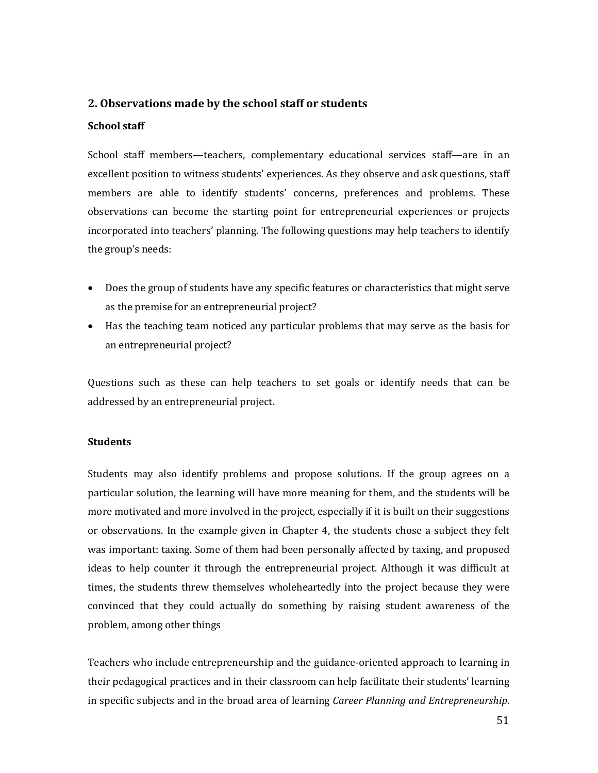### <span id="page-57-0"></span>**2. Observations made by the school staff or students**

#### **School staff**

School staff members—teachers, complementary educational services staff—are in an excellent position to witness students' experiences. As they observe and ask questions, staff members are able to identify students' concerns, preferences and problems. These observations can become the starting point for entrepreneurial experiences or projects incorporated into teachers' planning. The following questions may help teachers to identify the group's needs:

- Does the group of students have any specific features or characteristics that might serve as the premise for an entrepreneurial project?
- Has the teaching team noticed any particular problems that may serve as the basis for an entrepreneurial project?

Questions such as these can help teachers to set goals or identify needs that can be addressed by an entrepreneurial project.

#### **Students**

Students may also identify problems and propose solutions. If the group agrees on a particular solution, the learning will have more meaning for them, and the students will be more motivated and more involved in the project, especially if it is built on their suggestions or observations. In the example given in Chapter 4, the students chose a subject they felt was important: taxing. Some of them had been personally affected by taxing, and proposed ideas to help counter it through the entrepreneurial project. Although it was difficult at times, the students threw themselves wholeheartedly into the project because they were convinced that they could actually do something by raising student awareness of the problem, among other things

Teachers who include entrepreneurship and the guidance-oriented approach to learning in their pedagogical practices and in their classroom can help facilitate their students' learning in specific subjects and in the broad area of learning *Career Planning and Entrepreneurship*.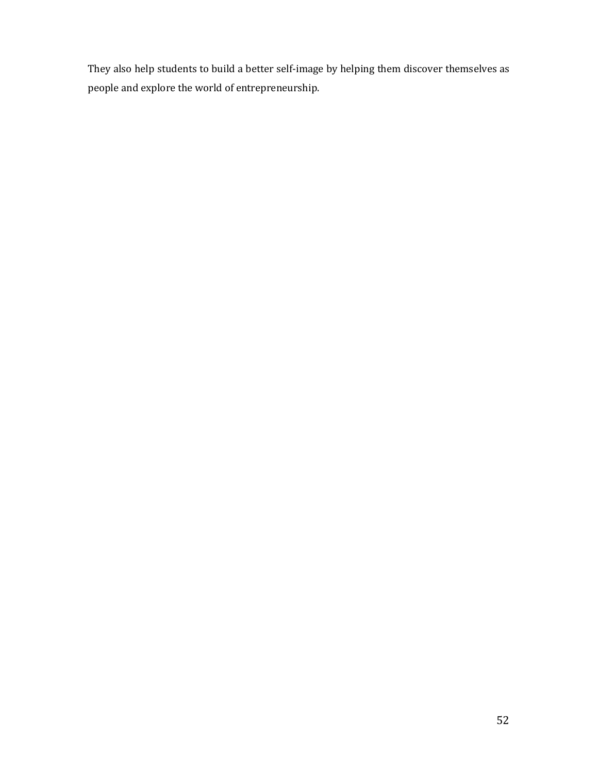They also help students to build a better self-image by helping them discover themselves as people and explore the world of entrepreneurship.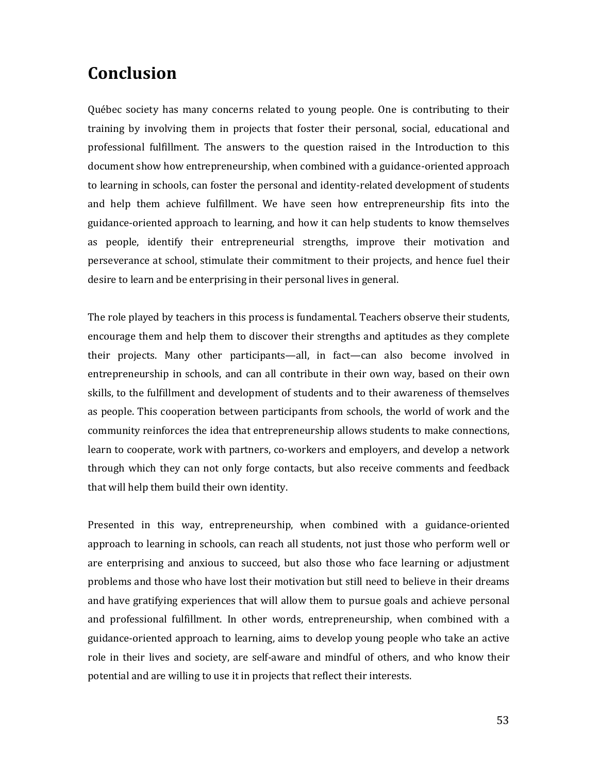## <span id="page-59-0"></span>**Conclusion**

Québec society has many concerns related to young people. One is contributing to their training by involving them in projects that foster their personal, social, educational and professional fulfillment. The answers to the question raised in the Introduction to this document show how entrepreneurship, when combined with a guidance-oriented approach to learning in schools, can foster the personal and identity-related development of students and help them achieve fulfillment. We have seen how entrepreneurship fits into the guidance-oriented approach to learning, and how it can help students to know themselves as people, identify their entrepreneurial strengths, improve their motivation and perseverance at school, stimulate their commitment to their projects, and hence fuel their desire to learn and be enterprising in their personal lives in general.

The role played by teachers in this process is fundamental. Teachers observe their students, encourage them and help them to discover their strengths and aptitudes as they complete their projects. Many other participants—all, in fact—can also become involved in entrepreneurship in schools, and can all contribute in their own way, based on their own skills, to the fulfillment and development of students and to their awareness of themselves as people. This cooperation between participants from schools, the world of work and the community reinforces the idea that entrepreneurship allows students to make connections, learn to cooperate, work with partners, co-workers and employers, and develop a network through which they can not only forge contacts, but also receive comments and feedback that will help them build their own identity.

Presented in this way, entrepreneurship, when combined with a guidance-oriented approach to learning in schools, can reach all students, not just those who perform well or are enterprising and anxious to succeed, but also those who face learning or adjustment problems and those who have lost their motivation but still need to believe in their dreams and have gratifying experiences that will allow them to pursue goals and achieve personal and professional fulfillment. In other words, entrepreneurship, when combined with a guidance-oriented approach to learning, aims to develop young people who take an active role in their lives and society, are self-aware and mindful of others, and who know their potential and are willing to use it in projects that reflect their interests.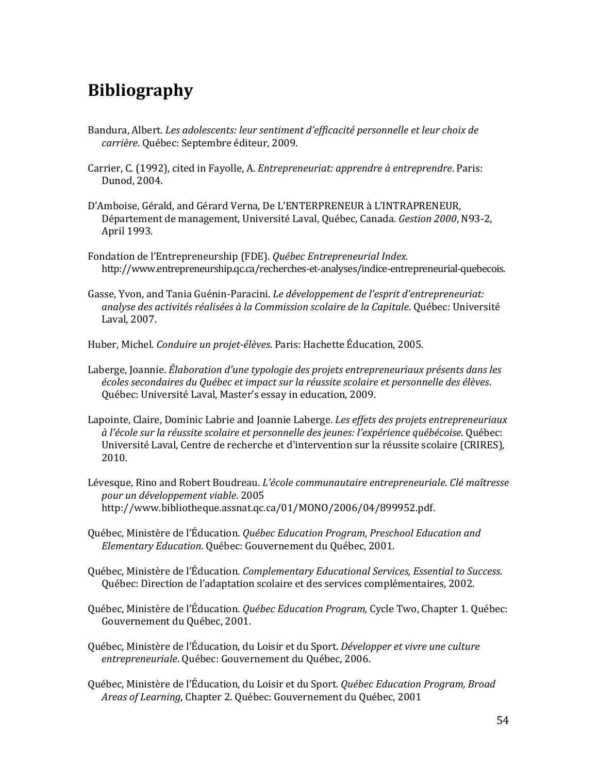## <span id="page-60-0"></span>**Bibliography**

- Bandura, Albert. *Les adolescents: leur sentiment d'efficacité personnelle et leur choix de carrière*. Québec: Septembre éditeur, 2009.
- Carrier, C. (1992), cited in Fayolle, A. *Entrepreneuriat: apprendre à entreprendre*. Paris: Dunod, 2004.
- D'Amboise, Gérald, and Gérard Verna, De L'ENTERPRENEUR à L'INTRAPRENEUR, Département de management, Université Laval, Québec, Canada. *Gestion 2000*, N93-2, April 1993.
- Fondation de l'Entrepreneurship (FDE). *Québec Entrepreneurial Index.* http://www.entrepreneurship.qc.ca/recherches-et-analyses/indice-entrepreneurial-quebecois.
- Gasse, Yvon, and Tania Guénin-Paracini. *Le développement de l'esprit d'entrepreneuriat: analyse des activités réalisées à la Commission scolaire de la Capitale*. Québec: Université Laval, 2007.
- Huber, Michel. *Conduire un projet-élèves*. Paris: Hachette Éducation, 2005.
- Laberge, Joannie. *Élaboration d'une typologie des projets entrepreneuriaux présents dans les écoles secondaires du Québec et impact sur la réussite scolaire et personnelle des élèves*. Québec: Université Laval, Master's essay in education, 2009.
- Lapointe, Claire, Dominic Labrie and Joannie Laberge. *Les effets des projets entrepreneuriaux à l'école sur la réussite scolaire et personnelle des jeunes: l'expérience québécoise*. Québec: Université Laval, Centre de recherche et d'intervention sur la réussite scolaire (CRIRES), 2010.
- Lévesque, Rino and Robert Boudreau. *L'école communautaire entrepreneuriale. Clé maîtresse pour un développement viable*. 2005 http://www.bibliotheque.assnat.qc.ca/01/MONO/2006/04/899952.pdf.
- Québec, Ministère de l'Éducation. *Québec Education Program, Preschool Education and Elementary Education*. Québec: Gouvernement du Québec, 2001.
- Québec, Ministère de l'Éducation. *Complementary Educational Services, Essential to Success.* Québec: Direction de l'adaptation scolaire et des services complémentaires, 2002.
- Québec, Ministère de l'Éducation. *Québec Education Program,* Cycle Two, Chapter 1. Québec: Gouvernement du Québec, 2001.
- Québec, Ministère de l'Éducation, du Loisir et du Sport. *Développer et vivre une culture entrepreneuriale*. Québec: Gouvernement du Québec, 2006.
- Québec, Ministère de l'Éducation, du Loisir et du Sport. *Québec Education Program, Broad Areas of Learning*, Chapter 2. Québec: Gouvernement du Québec, 2001